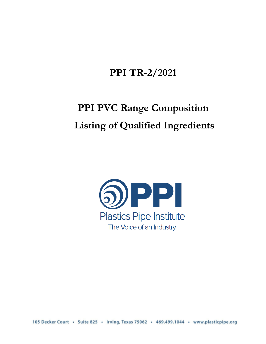# **PPI TR-2/2021**

# **PPI PVC Range Composition Listing of Qualified Ingredients**



105 Decker Court · Suite 825 · Irving, Texas 75062 · 469.499.1044 · www.plasticpipe.org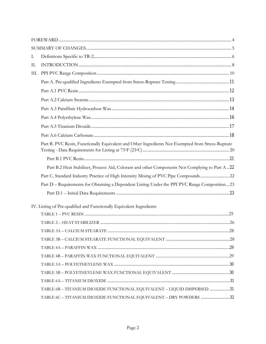| Ι.   |                                                                                                   |     |
|------|---------------------------------------------------------------------------------------------------|-----|
| Π.   |                                                                                                   |     |
| III. |                                                                                                   |     |
|      |                                                                                                   |     |
|      |                                                                                                   |     |
|      |                                                                                                   |     |
|      |                                                                                                   |     |
|      |                                                                                                   |     |
|      |                                                                                                   |     |
|      |                                                                                                   |     |
|      | Part B. PVC Resin, Functionally Equivalent and Other Ingredients Not Exempted from Stress-Rupture |     |
|      |                                                                                                   |     |
|      | Part B.2 Heat Stabilizer, Process Aid, Colorant and other Components Not Complying to Part A22    |     |
|      | Part C. Standard Industry Practice of High Intensity Mixing of PVC Pipe Compounds22               |     |
|      | Part D - Requirements for Obtaining a Dependent Listing Under the PPI PVC Range Composition23     |     |
|      |                                                                                                   |     |
|      | IV. Listing of Pre-qualified and Functionally Equivalent Ingredients                              |     |
|      |                                                                                                   |     |
|      |                                                                                                   |     |
|      |                                                                                                   | .28 |
|      |                                                                                                   |     |
|      |                                                                                                   |     |
|      |                                                                                                   |     |
|      |                                                                                                   |     |
|      |                                                                                                   |     |
|      |                                                                                                   |     |
|      | TABLE 6B - TITANIUM DIOXIDE FUNCTIONAL EQUIVALENT - LIQUID DISPERSED 31                           |     |
|      | TABLE 6C - TITANIUM DIOXIDE FUNCTIONAL EQUIVALENT - DRY POWDERS 32                                |     |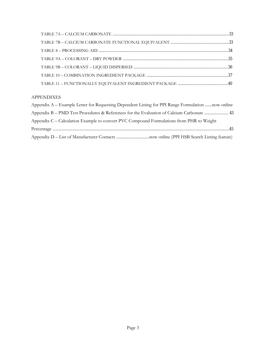#### APPENDIXES

| Appendix A – Example Letter for Requesting Dependent Listing for PPI Range Formulation now online |
|---------------------------------------------------------------------------------------------------|
| Appendix B – PMD Test Procedures & References for the Evaluation of Calcium Carbonate  43         |
| Appendix C – Calculation Example to convert PVC Compound Formulations from PHR to Weight          |
|                                                                                                   |
|                                                                                                   |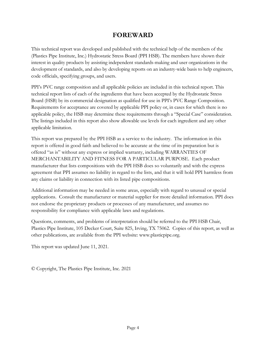# **FOREWARD**

This technical report was developed and published with the technical help of the members of the (Plastics Pipe Institute, Inc.) Hydrostatic Stress Board (PPI HSB). The members have shown their interest in quality products by assisting independent standards-making and user organizations in the development of standards, and also by developing reports on an industry-wide basis to help engineers, code officials, specifying groups, and users.

PPI's PVC range composition and all applicable policies are included in this technical report. This technical report lists of each of the ingredients that have been accepted by the Hydrostatic Stress Board (HSB) by its commercial designation as qualified for use in PPI's PVC Range Composition. Requirements for acceptance are covered by applicable PPI policy or, in cases for which there is no applicable policy, the HSB may determine these requirements through a "Special Case" consideration. The listings included in this report also show allowable use levels for each ingredient and any other applicable limitation.

This report was prepared by the PPI HSB as a service to the industry. The information in this report is offered in good faith and believed to be accurate at the time of its preparation but is offered "as is" without any express or implied warranty, including WARRANTIES OF MERCHANTABILITY AND FITNESS FOR A PARTICULAR PURPOSE. Each product manufacturer that lists compositions with the PPI HSB does so voluntarily and with the express agreement that PPI assumes no liability in regard to the lists, and that it will hold PPI harmless from any claims or liability in connection with its listed pipe compositions.

Additional information may be needed in some areas, especially with regard to unusual or special applications. Consult the manufacturer or material supplier for more detailed information. PPI does not endorse the proprietary products or processes of any manufacturer, and assumes no responsibility for compliance with applicable laws and regulations.

Questions, comments, and problems of interpretation should be referred to the PPI HSB Chair, Plastics Pipe Institute, 105 Decker Court, Suite 825, Irving, TX 75062. Copies of this report, as well as other publications, are available from the PPI website: www.plasticpipe.org.

This report was updated June 11, 2021.

© Copyright, The Plastics Pipe Institute, Inc. 2021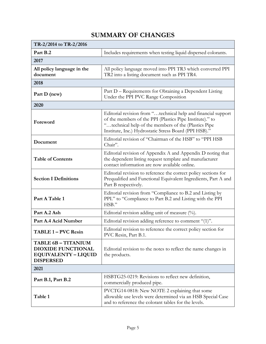# **SUMMARY OF CHANGES**

| TR-2/2014 to TR-2/2016                                                                                     |                                                                                                                                                                                                                                            |  |  |  |  |
|------------------------------------------------------------------------------------------------------------|--------------------------------------------------------------------------------------------------------------------------------------------------------------------------------------------------------------------------------------------|--|--|--|--|
| Part B.2                                                                                                   | Includes requirements when testing liquid dispersed colorants.                                                                                                                                                                             |  |  |  |  |
| 2017                                                                                                       |                                                                                                                                                                                                                                            |  |  |  |  |
| All policy language in the<br>document                                                                     | All policy language moved into PPI TR3 which converted PPI<br>TR2 into a listing document such as PPI TR4.                                                                                                                                 |  |  |  |  |
| 2018                                                                                                       |                                                                                                                                                                                                                                            |  |  |  |  |
| Part D (new)                                                                                               | Part D – Requirements for Obtaining a Dependent Listing<br>Under the PPI PVC Range Composition                                                                                                                                             |  |  |  |  |
| 2020                                                                                                       |                                                                                                                                                                                                                                            |  |  |  |  |
| Foreword                                                                                                   | Editorial revision from "technical help and financial support<br>of the members of the PPI (Plastics Pipe Institute)." to<br>"technical help of the members of the (Plastics Pipe<br>Institute, Inc.) Hydrostatic Stress Board (PPI HSB)." |  |  |  |  |
| Document                                                                                                   | Editorial revision of "Chairman of the HSB" to "PPI HSB<br>Chair".                                                                                                                                                                         |  |  |  |  |
| <b>Table of Contents</b>                                                                                   | Editorial revision of Appendix A and Appendix D noting that<br>the dependent listing request template and manufacturer<br>contact information are now available online.                                                                    |  |  |  |  |
| <b>Section I Definitions</b>                                                                               | Editorial revision to reference the correct policy sections for<br>Prequalified and Functional Equivalent Ingredients, Part A and<br>Part B respectively.                                                                                  |  |  |  |  |
| Part A Table 1                                                                                             | Editorial revision from "Compliance to B.2 and Listing by<br>PPI." to "Compliance to Part B.2 and Listing with the PPI<br>HSB."                                                                                                            |  |  |  |  |
| Part A.2 Ash                                                                                               | Editorial revision adding unit of measure $(%)$ .                                                                                                                                                                                          |  |  |  |  |
| Part A.4 Acid Number                                                                                       | Editorial revision adding reference to comment "(1)".                                                                                                                                                                                      |  |  |  |  |
| TABLE 1 - PVC Resin                                                                                        | Editorial revision to reference the correct policy section for<br>PVC Resin, Part B.1                                                                                                                                                      |  |  |  |  |
| <b>TABLE 6B - TITANIUM</b><br><b>DIOXIDE FUNCTIONAL</b><br><b>EQUIVALENTY - LIQUID</b><br><b>DISPERSED</b> | Editorial revision to the notes to reflect the name changes in<br>the products.                                                                                                                                                            |  |  |  |  |
| 2021                                                                                                       |                                                                                                                                                                                                                                            |  |  |  |  |
| Part B.1, Part B.2                                                                                         | HSBTG25-0219: Revisions to reflect new definition,<br>commercially produced pipe.                                                                                                                                                          |  |  |  |  |
| Table 1                                                                                                    | PVCTG14-0818: New NOTE 2 explaining that some<br>allowable use levels were determined via an HSB Special Case<br>and to reference the colorant tables for the levels.                                                                      |  |  |  |  |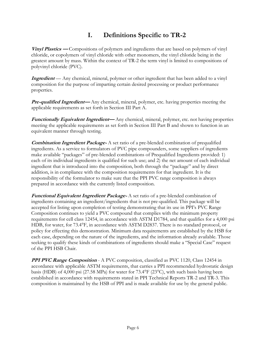# **I. Definitions Specific to TR-2**

**Vinyl Plastics —** Compositions of polymers and ingredients that are based on polymers of vinyl chloride, or copolymers of vinyl chloride with other monomers, the vinyl chloride being in the greatest amount by mass. Within the context of TR-2 the term vinyl is limited to compositions of polyvinyl chloride (PVC).

**Ingredient** — Any chemical, mineral, polymer or other ingredient that has been added to a vinyl composition for the purpose of imparting certain desired processing or product performance properties.

*Pre-qualified Ingredient***—** Any chemical, mineral, polymer, etc. having properties meeting the applicable requirements as set forth in Section III Part A.

**Functionally Equivalent Ingredient—** Any chemical, mineral, polymer, etc. not having properties meeting the applicable requirements as set forth in Section III Part B and shown to function in an equivalent manner through testing.

**Combination Ingredient Package-** A set ratio of a pre-blended combination of prequalified ingredients. As a service to formulators of PVC pipe compounders, some suppliers of ingredients make available "packages" of pre-blended combinations of Prequalified Ingredients provided: 1) each of its individual ingredients is qualified for such use; and 2) the net amount of each individual ingredient that is introduced into the composition, both through the "package" and by direct addition, is in compliance with the composition requirements for that ingredient. It is the responsibility of the formulator to make sure that the PPI PVC range composition is always prepared in accordance with the currently listed composition.

**Functional Equivalent Ingredient Package-** A set ratio of a pre-blended combination of ingredients containing an ingredient/ingredients that is not pre-qualified. This package will be accepted for listing upon completion of testing demonstrating that its use in PPI's PVC Range Composition continues to yield a PVC compound that complies with the minimum property requirements for cell class 12454, in accordance with ASTM D1784, and that qualifies for a 4,000 psi HDB, for water, for 73.4°F, in accordance with ASTM D2837. There is no standard protocol, or policy for effecting this demonstration. Minimum data requirements are established by the HSB for each case, depending on the nature of the ingredients, and the information already available. Those seeking to qualify these kinds of combinations of ingredients should make a "Special Case" request of the PPI HSB Chair.

**PPI PVC Range Composition** - A PVC composition, classified as PVC 1120, Class 12454 in accordance with applicable ASTM requirements, that carries a PPI recommended hydrostatic design basis (HDB) of 4,000 psi (27.58 MPa) for water for 73.4°F (23°C), with such basis having been established in accordance with requirements stated in PPI Technical Reports TR-2 and TR-3. This composition is maintained by the HSB of PPI and is made available for use by the general public.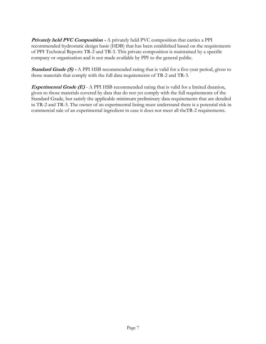**Privately held PVC Composition -** A privately held PVC composition that carries a PPI recommended hydrostatic design basis (HDB) that has been established based on the requirements of PPI Technical Reports TR-2 and TR-3. This private composition is maintained by a specific company or organization and is not made available by PPI to the general public.

**Standard Grade (S) -** A PPI HSB recommended rating that is valid for a five-year period, given to those materials that comply with the full data requirements of TR-2 and TR-3.

**Experimental Grade (E)** - A PPI HSB recommended rating that is valid for a limited duration, given to those materials covered by data that do not yet comply with the full requirements of the Standard Grade, but satisfy the applicable minimum preliminary data requirements that are detailed in TR-2 and TR-3. The owner of an experimental listing must understand there is a potential risk in commercial sale of an experimental ingredient in case it does not meet all theTR-2 requirements.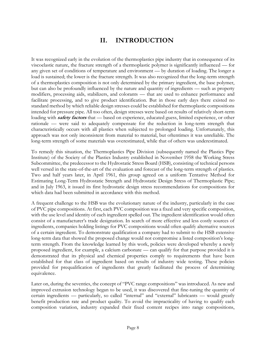# **II. INTRODUCTION**

It was recognized early in the evolution of the thermoplastics pipe industry that in consequence of its viscoelastic nature, the fracture strength of a thermoplastic polymer is significantly influenced — for any given set of conditions of temperature and environment — by duration of loading. The longer a load is sustained; the lower is the fracture strength. It was also recognized that the long-term strength of a thermoplastics composition is not only determined by the primary ingredient, the base polymer, but can also be profoundly influenced by the nature and quantity of ingredients — such as property modifiers, processing aids, stabilizers, and colorants — that are used to enhance performance and facilitate processing, and to give product identification. But in those early days there existed no standard method by which reliable design stresses could be established for thermoplastic compositions intended for pressure pipe. All too often, design stresses were based on results of relatively short-term loading with **safety factors** that — based on experience, educated guess, limited experience, or other rationale — were said to adequately compensate for the reduction in long-term strength that characteristically occurs with all plastics when subjected to prolonged loading. Unfortunately, this approach was not only inconsistent from material to material, but oftentimes it was unreliable. The long-term strength of some materials was overestimated, while that of others was underestimated.

To remedy this situation, the Thermoplastics Pipe Division (subsequently named the Plastics Pipe Institute) of the Society of the Plastics Industry established in November 1958 the Working Stress Subcommittee, the predecessor to the Hydrostatic Stress Board (HSB), consisting of technical persons well versed in the state-of-the-art of the evaluation and forecast of the long-term strength of plastics. Two and half years later, in April 1961, this group agreed on a uniform Tentative Method for Estimating Long-Term Hydrostatic Strength and Hydrostatic Design Stress of Thermoplastic Pipe; and in July 1963, it issued its first hydrostatic design stress recommendations for compositions for which data had been submitted in accordance with this method.

A frequent challenge to the HSB was the evolutionary nature of the industry, particularly in the case of PVC pipe compositions. At first, each PVC composition was a fixed and very specific composition, with the use level and identity of each ingredient spelled out. The ingredient identification would often consist of a manufacturer's trade designation. In search of more effective and less costly sources of ingredients, companies holding listings for PVC compositions would often qualify alternative sources of a certain ingredient. To demonstrate qualification a company had to submit to the HSB extensive long-term data that showed the proposed change would not compromise a listed composition's longterm strength. From the knowledge learned by this work, policies were developed whereby a newly proposed ingredient, for example, a calcium carbonate — can qualify for that purpose provided it is demonstrated that its physical and chemical properties comply to requirements that have been established for that class of ingredient based on results of industry wide testing. These policies provided for prequalification of ingredients that greatly facilitated the process of determining equivalence.

Later on, during the seventies, the concept of "PVC range compositions" was introduced. As new and improved extrusion technology began to be used, it was discovered that fine-tuning the quantity of certain ingredients — particularly, so called "internal" and "external" lubricants — would greatly benefit production rate and product quality. To avoid the impracticality of having to qualify each composition variation, industry expanded their fixed content recipes into range compositions,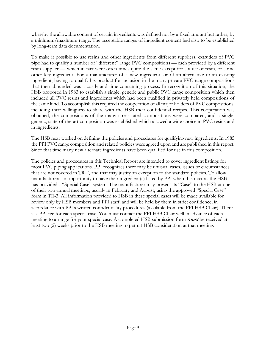whereby the allowable content of certain ingredients was defined not by a fixed amount but rather, by a minimum/maximum range. The acceptable ranges of ingredient content had also to be established by long-term data documentation.

To make it possible to use resins and other ingredients from different suppliers, extruders of PVC pipe had to qualify a number of "different" range PVC compositions — each provided by a different resin supplier — which in fact were often times quite the same except for source of resin, or some other key ingredient. For a manufacturer of a new ingredient, or of an alternative to an existing ingredient, having to qualify his product for inclusion in the many private PVC range compositions that then abounded was a costly and time-consuming process. In recognition of this situation, the HSB proposed in 1983 to establish a single, generic and public PVC range composition which then included all PVC resins and ingredients which had been qualified in privately held compositions of the same kind. To accomplish this required the cooperation of all major holders of PVC compositions, including their willingness to share with the HSB their confidential recipes. This cooperation was obtained, the compositions of the many stress-rated compositions were compared, and a single, generic, state-of-the-art composition was established which allowed a wide choice in PVC resins and in ingredients.

The HSB next worked on defining the policies and procedures for qualifying new ingredients. In 1985 the PPI PVC range composition and related policies were agreed upon and are published in this report. Since that time many new alternate ingredients have been qualified for use in this composition.

The policies and procedures in this Technical Report are intended to cover ingredient listings for most PVC piping applications. PPI recognizes there may be unusual cases, issues or circumstances that are not covered in TR-2, and that may justify an exception to the standard policies. To allow manufacturers an opportunity to have their ingredient(s) listed by PPI when this occurs, the HSB has provided a "Special Case" system. The manufacturer may present its "Case" to the HSB at one of their two annual meetings, usually in February and August, using the approved "Special Case" form in TR-3. All information provided to HSB in these special cases will be made available for review only by HSB members and PPI staff, and will be held by them in strict confidence, in accordance with PPI's written confidentiality procedures (available from the PPI HSB Chair). There is a PPI fee for each special case. You must contact the PPI HSB Chair well in advance of each meeting to arrange for your special case. A completed HSB submission form **must** be received at least two (2) weeks prior to the HSB meeting to permit HSB consideration at that meeting.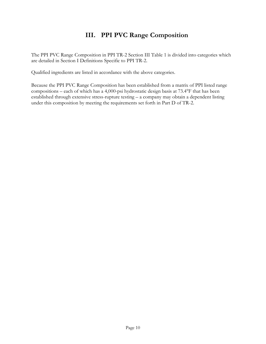# **III. PPI PVC Range Composition**

The PPI PVC Range Composition in PPI TR-2 Section III Table 1 is divided into categories which are detailed in Section I Definitions Specific to PPI TR-2.

Qualified ingredients are listed in accordance with the above categories.

Because the PPI PVC Range Composition has been established from a matrix of PPI listed range compositions – each of which has a 4,000-psi hydrostatic design basis at 73.4°F that has been established through extensive stress-rupture testing – a company may obtain a dependent listing under this composition by meeting the requirements set forth in Part D of TR-2.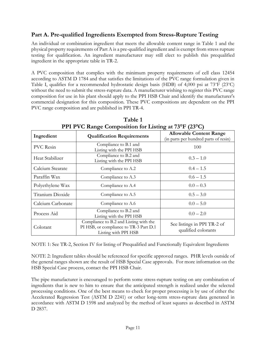# **Part A. Pre-qualified Ingredients Exempted from Stress-Rupture Testing**

An individual or combination ingredient that meets the allowable content range in Table 1 and the physical property requirements of Part A is a pre-qualified ingredient and is exempt from stress rupture testing for qualification. An ingredient manufacturer may still elect to publish this prequalified ingredient in the appropriate table in TR-2.

A PVC composition that complies with the minimum property requirements of cell class 12454 according to ASTM D 1784 and that satisfies the limitations of the PVC range formulation given in Table I, qualifies for a recommended hydrostatic design basis (HDB) of 4,000 psi at 73°F (23°C) without the need to submit the stress-rupture data. A manufacturer wishing to register this PVC range composition for use in his plant should apply to the PPI HSB Chair and identify the manufacturer's commercial designation for this composition. These PVC compositions are dependent on the PPI PVC range composition and are published in PPI TR-4.

| $1111110$ and $\frac{1}{2}$ composition for Eisting at 15 1 (25 G) |                                                                                                          |                                                                         |  |  |  |  |
|--------------------------------------------------------------------|----------------------------------------------------------------------------------------------------------|-------------------------------------------------------------------------|--|--|--|--|
| Ingredient                                                         | <b>Qualification Requirements</b>                                                                        | <b>Allowable Content Range</b><br>(in parts per hundred parts of resin) |  |  |  |  |
| <b>PVC</b> Resin                                                   | Compliance to B.1 and<br>Listing with the PPI HSB                                                        | 100                                                                     |  |  |  |  |
| Heat Stabilizer                                                    | Compliance to B.2 and<br>Listing with the PPI HSB                                                        | $0.3 - 1.0$                                                             |  |  |  |  |
| Calcium Stearate                                                   | Compliance to A.2                                                                                        | $0.4 - 1.5$                                                             |  |  |  |  |
| Paraffin Wax                                                       | Compliance to A.3                                                                                        | $0.6 - 1.5$                                                             |  |  |  |  |
| Polyethylene Wax                                                   | Compliance to A.4                                                                                        | $0.0 - 0.3$                                                             |  |  |  |  |
| Titanium Dioxide                                                   | Compliance to A.5                                                                                        | $0.5 - 3.0$                                                             |  |  |  |  |
| Calcium Carbonate                                                  | Compliance to A.6                                                                                        | $0.0 - 5.0$                                                             |  |  |  |  |
| Process Aid                                                        | Compliance to B.2 and<br>Listing with the PPI HSB                                                        | $0.0 - 2.0$                                                             |  |  |  |  |
| Colorant                                                           | Compliance to B.2 and Listing with the<br>PI HSB, or compliance to TR-3 Part D.1<br>Listing with PPI HSB | See listings in PPI TR-2 of<br>qualified colorants                      |  |  |  |  |

**Table 1 PPI PVC Range Composition for Listing at 73°F (23°C)**

NOTE 1: See TR-2, Section IV for listing of Prequalified and Functionally Equivalent Ingredients

NOTE 2: Ingredient tables should be referenced for specific approved ranges. PHR levels outside of the general ranges shown are the result of HSB Special Case approvals. For more information on the HSB Special Case process, contact the PPI HSB Chair.

The pipe manufacturer is encouraged to perform some stress-rupture testing on any combination of ingredients that is new to him to ensure that the anticipated strength is realized under the selected processing conditions. One of the best means to check for proper processing is by use of either the Accelerated Regression Test (ASTM D 2241) or other long-term stress-rupture data generated in accordance with ASTM D 1598 and analyzed by the method of least squares as described in ASTM D 2837.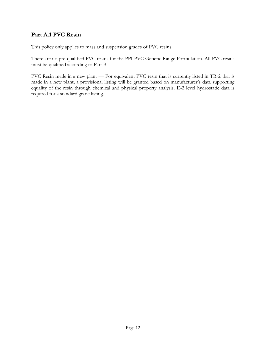# **Part A.1 PVC Resin**

This policy only applies to mass and suspension grades of PVC resins.

There are no pre-qualified PVC resins for the PPI PVC Generic Range Formulation. All PVC resins must be qualified according to Part B.

PVC Resin made in a new plant — For equivalent PVC resin that is currently listed in TR-2 that is made in a new plant, a provisional listing will be granted based on manufacturer's data supporting equality of the resin through chemical and physical property analysis. E-2 level hydrostatic data is required for a standard grade listing.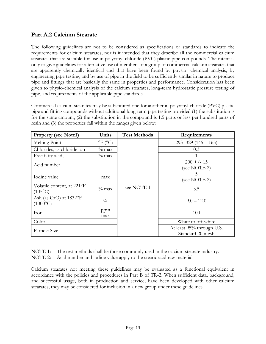# **Part A.2 Calcium Stearate**

The following guidelines are not to be considered as specifications or standards to indicate the requirements for calcium stearates, nor is it intended that they describe all the commercial calcium stearates that are suitable for use in polyvinyl chloride (PVC) plastic pipe compounds. The intent is only to give guidelines for alternative use of members of a group of commercial calcium stearates that are apparently chemically identical and that have been found by physio- chemical analysis, by engineering pipe testing, and by use of pipe in the field to be sufficiently similar in nature to produce pipe and fittings that are basically the same in properties and performance. Consideration has been given to physio-chemical analysis of the calcium stearates, long-term hydrostatic pressure testing of pipe, and requirements of the applicable pipe standards.

Commercial calcium stearates may be substituted one for another in polyvinyl chloride (PVC) plastic pipe and fitting compounds without additional long-term pipe testing provided (1) the substitution is for the same amount, (2) the substitution in the compound is 1.5 parts or less per hundred parts of resin and (3) the properties fall within the ranges given below:

| <b>Property (see Note1)</b>                    | Units                        | <b>Test Methods</b> | Requirements                                  |
|------------------------------------------------|------------------------------|---------------------|-----------------------------------------------|
| Melting Point                                  | $^{\circ}$ F ( $^{\circ}$ C) |                     | $293 - 329 (145 - 165)$                       |
| Chlorides, as chloride ion                     | $\%$ max                     |                     | 0.3                                           |
| Free fatty acid,                               | $\%$ max                     |                     |                                               |
| Acid number                                    |                              |                     | $200 + (-15)$<br>(see NOTE 2)                 |
| Iodine value                                   | max                          |                     | 5<br>(see NOTE 2)                             |
| Volatile content, at 221°F<br>$(105^{\circ}C)$ | $\%$ max                     | see NOTE 1          | 3.5                                           |
| Ash (as CaO) at 1832°F<br>$(1000^{\circ}C)$    | $\frac{0}{0}$                |                     | $9.0 - 12.0$                                  |
| Iron                                           | ppm<br>max                   |                     | 100                                           |
| Color                                          |                              |                     | White to off-white                            |
| Particle Size                                  |                              |                     | At least 95% through U.S.<br>Standard 20 mesh |

NOTE 1: The test methods shall be those commonly used in the calcium stearate industry.

NOTE 2: Acid number and iodine value apply to the stearic acid raw material.

Calcium stearates not meeting these guidelines may be evaluated as a functional equivalent in accordance with the policies and procedures in Part B of TR-2. When sufficient data, background, and successful usage, both in production and service, have been developed with other calcium stearates, they may be considered for inclusion in a new group under these guidelines.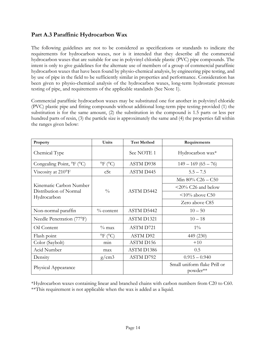# **Part A.3 Paraffinic Hydrocarbon Wax**

The following guidelines are not to be considered as specifications or standards to indicate the requirements for hydrocarbon waxes, nor is it intended that they describe all the commercial hydrocarbon waxes that are suitable for use in polyvinyl chloride plastic (PVC) pipe compounds. The intent is only to give guidelines for the alternate use of members of a group of commercial paraffinic hydrocarbon waxes that have been found by physio-chemical analysis, by engineering pipe testing, and by use of pipe in the field to be sufficiently similar in properties and performance. Consideration has been given to physio-chemical analysis of the hydrocarbon waxes, long-term hydrostatic pressure testing of pipe, and requirements of the applicable standards (See Note 1).

Commercial paraffinic hydrocarbon waxes may be substituted one for another in polyvinyl chloride (PVC) plastic pipe and fitting compounds without additional long-term pipe testing provided (1) the substitution is for the same amount, (2) the substitution in the compound is 1.5 parts or less per hundred parts of resin, (3) the particle size is approximately the same and (4) the properties fall within the ranges given below:

| Property                                           | <b>Test Method</b><br>Units           |                  | Requirements                             |  |
|----------------------------------------------------|---------------------------------------|------------------|------------------------------------------|--|
| Chemical Type                                      |                                       | See NOTE 1       | Hydrocarbon wax*                         |  |
| Congealing Point, ${}^{\circ}$ F ( ${}^{\circ}$ C) | $^{\circ}$ F ( $^{\circ}$ C)          | ASTM D938        | $149 - 169(65 - 76)$                     |  |
| Viscosity at 210°F                                 | cSt                                   | <b>ASTM D445</b> | $5.5 - 7.5$                              |  |
|                                                    |                                       |                  | Min $80\%$ C26 - C50                     |  |
| Kinematic Carbon Number<br>Distribution of Normal  |                                       | ASTM D5442       | $\leq$ 20% C26 and below                 |  |
| Hydrocarbon                                        | $\frac{0}{0}$                         |                  | $\leq 10\%$ above C50                    |  |
|                                                    |                                       |                  | Zero above C85                           |  |
| Non-normal paraffin                                | $\%$ content                          | ASTM D5442       | $10 - 50$                                |  |
| Needle Penetration (77°F)                          |                                       | ASTM D1321       | $10 - 18$                                |  |
| Oil Content                                        | $\%$ max                              | <b>ASTM D721</b> | $1\%$                                    |  |
| Flash point                                        | $\rm{^{\circ}F}$ ( $\rm{^{\circ}C}$ ) | <b>ASTM D92</b>  | 449 (230)                                |  |
| Color (Saybolt)                                    | min                                   | ASTM D156        | $+10$                                    |  |
| Acid Number                                        | max                                   | ASTM D1386       | 0.5                                      |  |
| Density                                            | g/cm3                                 | ASTM D792        | $0.915 - 0.940$                          |  |
| Physical Appearance                                |                                       |                  | Small uniform flake Prill or<br>powder** |  |

\*Hydrocarbon waxes containing linear and branched chains with carbon numbers from C20 to C60. \*\*This requirement is not applicable when the wax is added as a liquid.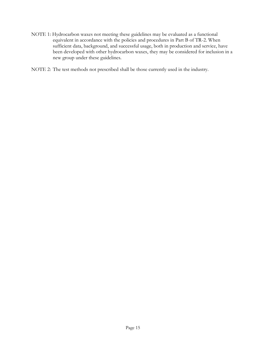- NOTE 1: Hydrocarbon waxes not meeting these guidelines may be evaluated as a functional equivalent in accordance with the policies and procedures in Part B of TR-2. When sufficient data, background, and successful usage, both in production and service, have been developed with other hydrocarbon waxes, they may be considered for inclusion in a new group under these guidelines.
- NOTE 2: The test methods not prescribed shall be those currently used in the industry.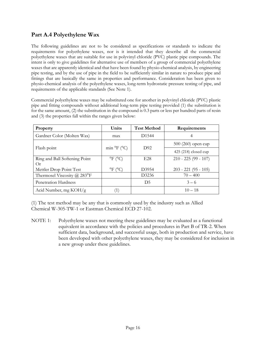# **Part A.4 Polyethylene Wax**

The following guidelines are not to be considered as specifications or standards to indicate the requirements for polyethylene waxes, nor is it intended that they describe all the commercial polyethylene waxes that are suitable for use in polyvinyl chloride (PVC) plastic pipe compounds. The intent is only to give guidelines for alternative use of members of a group of commercial polyethylene waxes that are apparently identical and that have been found by physio-chemical analysis, by engineering pipe testing, and by the use of pipe in the field to be sufficiently similar in nature to produce pipe and fittings that are basically the same in properties and performance. Consideration has been given to physio-chemical analysis of the polyethylene waxes, long-term hydrostatic pressure testing of pipe, and requirements of the applicable standards (See Note 1).

Commercial polyethylene waxes may be substituted one for another in polyvinyl chloride (PVC) plastic pipe and fitting compounds without additional long-term pipe testing provided (1) the substitution is for the same amount, (2) the substitution in the compound is 0.3 parts or less per hundred parts of resin and (3) the properties fall within the ranges given below:

| Property                           | Units                                 | <b>Test Method</b> | Requirements           |
|------------------------------------|---------------------------------------|--------------------|------------------------|
| Gardner Color (Molten Wax)         | max                                   | D <sub>1544</sub>  |                        |
|                                    |                                       |                    | $500(260)$ open cup    |
| Flash point                        | min ${}^{\circ}F$ ( ${}^{\circ}C$ )   | D92                | 425 (218) closed cup   |
| Ring and Ball Softening Point      | $^{\circ}$ F ( $^{\circ}$ C)          | E <sub>28</sub>    | $210 - 225(99 - 107)$  |
| $\Omega$ r                         |                                       |                    |                        |
| Mettler Drop Point Test            | $\rm{^{\circ}F}$ ( $\rm{^{\circ}C}$ ) | D3954              | $203 - 221$ (95 - 105) |
| Thermosel Viscosity $\omega$ 283°F |                                       | D3236              | $70 - 400$             |
| Penetration Hardness               |                                       | D <sub>5</sub>     | $3 - 6$                |
| Acid Number, mg KOH/g              | (1)                                   |                    | $10 - 18$              |

(1) The test method may be any that is commonly used by the industry such as Allied Chemical W-305-TW-1 or Eastman Chemical ECD 27-102.

NOTE 1: Polyethylene waxes not meeting these guidelines may be evaluated as a functional equivalent in accordance with the policies and procedures in Part B of TR-2. When sufficient data, background, and successful usage, both in production and service, have been developed with other polyethylene waxes, they may be considered for inclusion in a new group under these guidelines.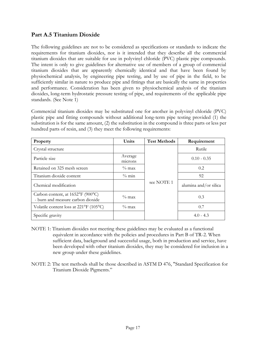# **Part A.5 Titanium Dioxide**

The following guidelines are not to be considered as specifications or standards to indicate the requirements for titanium dioxides, nor is it intended that they describe all the commercial titanium dioxides that are suitable for use in polyvinyl chloride (PVC) plastic pipe compounds. The intent is only to give guidelines for alternative use of members of a group of commercial titanium dioxides that are apparently chemically identical and that have been found by physiochemical analysis, by engineering pipe testing, and by use of pipe in the field, to be sufficiently similar in nature to produce pipe and fittings that are basically the same in properties and performance. Consideration has been given to physiochemical analysis of the titanium dioxides, long-term hydrostatic pressure testing of pipe, and requirements of the applicable pipe standards. (See Note 1)

Commercial titanium dioxides may be substituted one for another in polyvinyl chloride (PVC) plastic pipe and fitting compounds without additional long-term pipe testing provided (1) the substitution is for the same amount, (2) the substitution in the compound is three parts or less per hundred parts of resin, and (3) they meet the following requirements:

| Property                                                               | Units              | <b>Test Methods</b> | Requirement           |
|------------------------------------------------------------------------|--------------------|---------------------|-----------------------|
| Crystal structure                                                      |                    |                     | Rutile                |
| Particle size                                                          | Average<br>microns |                     | $0.10 - 0.35$         |
| Retained on 325 mesh screen                                            | $\%$ max           |                     | 0.2                   |
| Titanium dioxide content                                               | $\%$ min           |                     | 92                    |
| Chemical modification                                                  | see NOTE 1         |                     | alumina and/or silica |
| Carbon content, at 1652°F (900°C)<br>- burn and measure carbon dioxide | $\%$ max           |                     | 0.3                   |
| Volatile content loss at 221°F (105°C)                                 | $\%$ max           |                     | 0.7                   |
| Specific gravity                                                       |                    |                     | $4.0 - 4.3$           |

- NOTE 1: Titanium dioxides not meeting these guidelines may be evaluated as a functional equivalent in accordance with the policies and procedures in Part B of TR-2. When sufficient data, background and successful usage, both in production and service, have been developed with other titanium dioxides, they may be considered for inclusion in a new group under these guidelines.
- NOTE 2: The test methods shall be those described in ASTM D 476, "Standard Specification for Titanium Dioxide Pigments."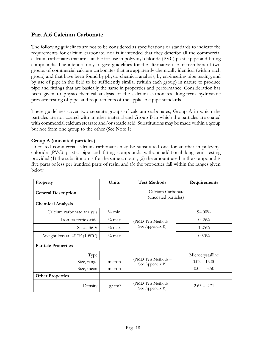# **Part A.6 Calcium Carbonate**

The following guidelines are not to be considered as specifications or standards to indicate the requirements for calcium carbonate, nor is it intended that they describe all the commercial calcium carbonates that are suitable for use in polyvinyl chloride (PVC) plastic pipe and fitting compounds. The intent is only to give guidelines for the alternative use of members of two groups of commercial calcium carbonates that are apparently chemically identical (within each group) and that have been found by physio-chemical analysis, by engineering pipe testing, and by use of pipe in the field to be sufficiently similar (within each group) in nature to produce pipe and fittings that are basically the same in properties and performance. Consideration has been given to physio-chemical analysis of the calcium carbonates, long-term hydrostatic pressure testing of pipe, and requirements of the applicable pipe standards.

These guidelines cover two separate groups of calcium carbonates, Group A in which the particles are not coated with another material and Group B in which the particles are coated with commercial calcium stearate and/or stearic acid. Substitutions may be made within a group but not from one group to the other (See Note 1).

### **Group A (uncoated particles)**

Uncoated commercial calcium carbonates may be substituted one for another in polyvinyl chloride (PVC) plastic pipe and fitting compounds without additional long-term testing provided (1) the substitution is for the same amount, (2) the amount used in the compound is five parts or less per hundred parts of resin, and (3) the properties fall within the ranges given below:

| Property                                    | Units                                     | <b>Test Methods</b>                    | Requirements     |  |  |  |  |
|---------------------------------------------|-------------------------------------------|----------------------------------------|------------------|--|--|--|--|
| <b>General Description</b>                  | Calcium Carbonate<br>(uncoated particles) |                                        |                  |  |  |  |  |
| <b>Chemical Analysis</b>                    |                                           |                                        |                  |  |  |  |  |
| Calcium carbonate analysis                  | $\%$ min                                  |                                        | $94.00\%$        |  |  |  |  |
| Iron, as ferric oxide                       | $\%$ max                                  | (PMD Test Methods -                    | $0.25\%$         |  |  |  |  |
| Silica, $SiO2$                              | $\%$ max                                  | See Appendix B)                        | $1.25\%$         |  |  |  |  |
| Weight loss at $221^{\circ}F(105^{\circ}C)$ | $\%$ max                                  |                                        | $0.50\%$         |  |  |  |  |
| <b>Particle Properties</b>                  |                                           |                                        |                  |  |  |  |  |
| Type                                        |                                           |                                        | Microcrystalline |  |  |  |  |
| Size, range                                 | micron                                    | (PMD Test Methods -<br>See Appendix B) | $0.02 - 15.00$   |  |  |  |  |
| Size, mean                                  | micron                                    |                                        | $0.05 - 3.50$    |  |  |  |  |
| <b>Other Properties</b>                     |                                           |                                        |                  |  |  |  |  |
| Density                                     | $g/cm^3$                                  | (PMD Test Methods -<br>See Appendix B) | $2.65 - 2.71$    |  |  |  |  |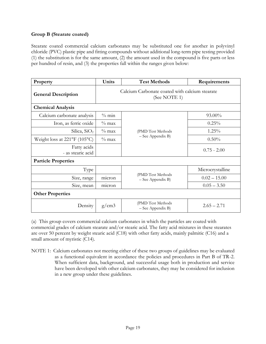### **Group B (Stearate coated)**

Stearate coated commercial calcium carbonates may be substituted one for another in polyvinyl chloride (PVC) plastic pipe and fitting compounds without additional long-term pipe testing provided (1) the substitution is for the same amount, (2) the amount used in the compound is five parts or less per hundred of resin, and (3) the properties fall within the ranges given below:

| Property                                    | Units                                                          | <b>Test Methods</b>                      | Requirements     |  |  |
|---------------------------------------------|----------------------------------------------------------------|------------------------------------------|------------------|--|--|
| <b>General Description</b>                  | Calcium Carbonate coated with calcium stearate<br>(See NOTE 1) |                                          |                  |  |  |
| <b>Chemical Analysis</b>                    |                                                                |                                          |                  |  |  |
| Calcium carbonate analysis                  | $\%$ min                                                       |                                          | 93.00%           |  |  |
| Iron, as ferric oxide                       | $\%$ max                                                       |                                          | 0.25%            |  |  |
| Silica, $SiO2$                              | $\%$ max                                                       | (PMD Test Methods                        | 1.25%            |  |  |
| Weight loss at $221^{\circ}F(105^{\circ}C)$ | $\%$ max                                                       | - See Appendix B)                        | $0.50\%$         |  |  |
| Fatty acids<br>- as stearic acid            |                                                                |                                          | $0.75 - 2.00$    |  |  |
| <b>Particle Properties</b>                  |                                                                |                                          |                  |  |  |
| Type                                        |                                                                |                                          | Microcrystalline |  |  |
| Size, range                                 | micron                                                         | (PMD Test Methods<br>$-$ See Appendix B) | $0.02 - 15.00$   |  |  |
| Size, mean                                  | micron                                                         |                                          | $0.05 - 3.50$    |  |  |
| <b>Other Properties</b>                     |                                                                |                                          |                  |  |  |
| Density                                     | g/cm3                                                          | (PMD Test Methods<br>- See Appendix B)   | $2.65 - 2.71$    |  |  |

(a) This group covers commercial calcium carbonates in which the particles are coated with commercial grades of calcium stearate and/or stearic acid. The fatty acid mixtures in these stearates are over 50 percent by weight stearic acid (C18) with other fatty acids, mainly palmitic (C16) and a small amount of myristic (C14).

NOTE 1: Calcium carbonates not meeting either of these two groups of guidelines may be evaluated as a functional equivalent in accordance the policies and procedures in Part B of TR-2. When sufficient data, background, and successful usage both in production and service have been developed with other calcium carbonates, they may be considered for inclusion in a new group under these guidelines.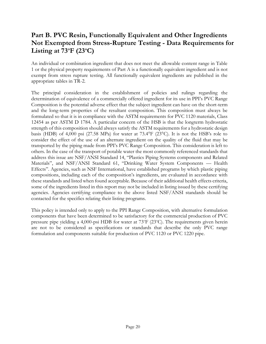# **Part B. PVC Resin, Functionally Equivalent and Other Ingredients Not Exempted from Stress-Rupture Testing - Data Requirements for Listing at 73<sup>o</sup>F (23<sup>o</sup>C)**

An individual or combination ingredient that does not meet the allowable content range in Table 1 or the physical property requirements of Part A is a functionally equivalent ingredient and is not exempt from stress rupture testing. All functionally equivalent ingredients are published in the appropriate tables in TR-2.

The principal consideration in the establishment of policies and rulings regarding the determination of equivalence of a commercially offered ingredient for its use in PPI's PVC Range Composition is the potential adverse effect that the subject ingredient can have on the short-term and the long-term properties of the resultant composition. This composition must always be formulated so that it is in compliance with the ASTM requirements for PVC 1120 materials, Class 12454 as per ASTM D 1784. A particular concern of the HSB is that the longterm hydrostatic strength of this composition should always satisfy the ASTM requirements for a hydrostatic design basis (HDB) of 4,000 psi (27.58 MPa) for water at 73.4°F (23°C). It is not the HSB's role to consider the effect of the use of an alternate ingredient on the quality of the fluid that may be transported by the piping made from PPI's PVC Range Composition. This consideration is left to others. In the case of the transport of potable water the most commonly referenced standards that address this issue are NSF/ANSI Standard 14, "Plastics Piping Systems components and Related Materials", and NSF/ANSI Standard 61, "Drinking Water System Components — Health Effects". Agencies, such as NSF International, have established programs by which plastic piping compositions, including each of the composition's ingredients, are evaluated in accordance with these standards and listed when found acceptable. Because of their additional health effects criteria, some of the ingredients listed in this report may not be included in listing issued by these certifying agencies. Agencies certifying compliance to the above listed NSF/ANSI standards should be contacted for the specifics relating their listing programs.

This policy is intended only to apply to the PPI Range Composition, with alternative formulation components that have been determined to be satisfactory for the commercial production of PVC pressure pipe yielding a 4,000-psi HDB for water at 73°F (23°C). The requirements given herein are not to be considered as specifications or standards that describe the only PVC range formulation and components suitable for production of PVC 1120 or PVC 1220 pipe.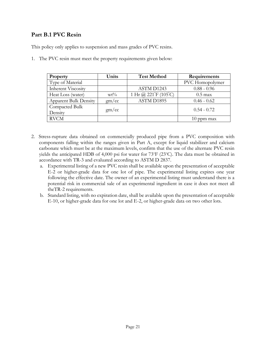# **Part B.1 PVC Resin**

This policy only applies to suspension and mass grades of PVC resins.

1. The PVC resin must meet the property requirements given below:

| Property                         | Units  | <b>Test Method</b>                  | Requirements           |
|----------------------------------|--------|-------------------------------------|------------------------|
| Type of Material                 |        |                                     | <b>PVC</b> Homopolymer |
| <b>Inherent Viscosity</b>        |        | ASTM D1243                          | $0.88 - 0.96$          |
| Heat Loss (water)                | $wt\%$ | 1 Hr @ $221^{\circ}F(105^{\circ}C)$ | $0.5 \text{ max}$      |
| <b>Apparent Bulk Density</b>     | gm/cc  | ASTM D1895                          | $0.46 - 0.62$          |
| <b>Compacted Bulk</b><br>Density | gm/cc  |                                     | $0.54 - 0.72$          |
| <b>RVCM</b>                      |        |                                     | $10$ ppm max           |

- 2. Stress-rupture data obtained on commercially produced pipe from a PVC composition with components falling within the ranges given in Part A, except for liquid stabilizer and calcium carbonate which must be at the maximum levels, confirm that the use of the alternate PVC resin yields the anticipated HDB of 4,000 psi for water for  $73^{\circ}F(23^{\circ}C)$ . The data must be obtained in accordance with TR-3 and evaluated according to ASTM D 2837.
	- a. Experimental listing of a new PVC resin shall be available upon the presentation of acceptable E-2 or higher-grade data for one lot of pipe. The experimental listing expires one year following the effective date. The owner of an experimental listing must understand there is a potential risk in commercial sale of an experimental ingredient in case it does not meet all theTR-2 requirements.
	- b. Standard listing, with no expiration date, shall be available upon the presentation of acceptable E-10, or higher-grade data for one lot and E-2, or higher-grade data on two other lots.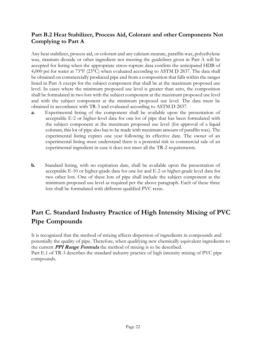# **Part B.2 Heat Stabilizer, Process Aid, Colorant and other Components Not Complying to Part A**

Any heat stabilizer, process aid, or colorant and any calcium stearate, paraffin wax, polyethylene wax, titanium dioxide or other ingredient not meeting the guidelines given in Part A will be accepted for listing when the appropriate stress-rupture data confirm the anticipated HDB of 4,000 psi for water at 73°F (23°C) when evaluated according to ASTM D 2837. The data shall be obtained on commercially produced pipe and from a composition that falls within the ranges listed in Part A except for the subject component that shall be at the maximum proposed use level. In cases where the minimum proposed use level is greater than zero, the composition shall be formulated in two lots with the subject component at the maximum proposed use level and with the subject component at the minimum proposed use level. The data must be obtained in accordance with TR-3 and evaluated according to ASTM D 2837.

- **a.** Experimental listing of the component shall be available upon the presentation of acceptable E-2 or higher-level data for one lot of pipe that has been formulated with the subject component at the maximum proposed use level (for approval of a liquid colorant, this lot of pipe also has to be made with maximum amount of paraffin wax). The experimental listing expires one year following its effective date. The owner of an experimental listing must understand there is a potential risk in commercial sale of an experimental ingredient in case it does not meet all the TR-2 requirements.
- **b.** Standard listing, with no expiration date, shall be available upon the presentation of acceptable E-10 or higher-grade data for one lot and E-2 or higher-grade level data for two other lots. One of these lots of pipe shall include the subject component at the minimum proposed use level as required per the above paragraph. Each of these three lots shall be formulated with different qualified PVC resin.

# **Part C. Standard Industry Practice of High Intensity Mixing of PVC Pipe Compounds**

It is recognized that the method of mixing affects dispersion of ingredients in compounds and potentially the quality of pipe. Therefore, when qualifying new chemically equivalent ingredients to the current **PPI Range Formula** the method of mixing is to be described. Part E.1 of TR-3 describes the standard industry practice of high intensity mixing of PVC pipe compounds.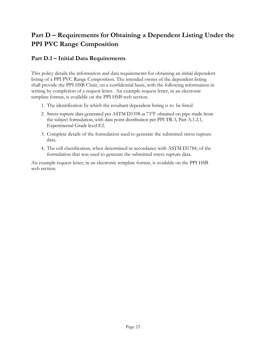# **Part D – Requirements for Obtaining a Dependent Listing Under the PPI PVC Range Composition**

# **Part D.1 – Initial Data Requirements**

This policy details the information and data requirements for obtaining an initial dependent listing of a PPI PVC Range Composition. The intended owner of the dependent listing shall provide the PPI HSB Chair, on a confidential basis, with the following information in writing by completion of a request letter. An example request letter, in an electronic template format, is available on the PPI HSB web section.

- 1. The identification by which the resultant dependent listing is to be listed
- 2. Stress rupture data generated per ASTM D1598 at 73°F obtained on pipe made from the subject formulation, with data point distribution per PPI TR-3, Part A.1.2.1, Experimental Grade level E2.
- 3. Complete details of the formulation used to generate the submitted stress rupture data.
- 4. The cell classification, when determined in accordance with ASTM D1784, of the formulation that was used to generate the submitted stress rupture data.

An example request letter, in an electronic template format, is available on the PPI HSB web section.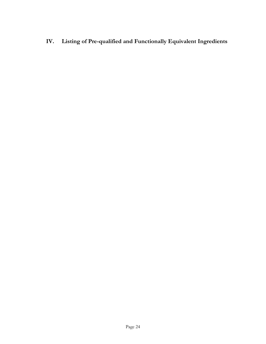**IV. Listing of Pre-qualified and Functionally Equivalent Ingredients**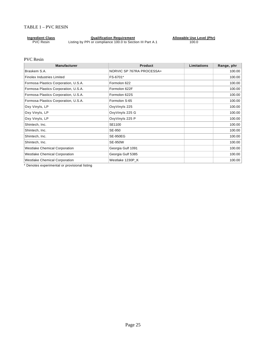#### TABLE 1 – PVC RESIN

| <b>Ingredient Class</b> | <b>Qualification Requirement</b>                           | Allowable Use Level (Phr) |
|-------------------------|------------------------------------------------------------|---------------------------|
| <b>PVC Resin</b>        | Listing by PPI or compliance 100.0 to Section III Part A.1 | 100.0                     |

#### PVC Resin

| <b>Manufacturer</b>                  | <b>Product</b>            | Limitations | Range, phr |
|--------------------------------------|---------------------------|-------------|------------|
| Braskem S.A.                         | NORVIC SP 767RA PROCESSA+ |             | 100.00     |
| <b>Finolex Industries Limited</b>    | FS-6701*                  |             | 100.00     |
| Formosa Plastics Corporation, U.S.A. | Formolon 622              |             | 100.00     |
| Formosa Plastics Corporation, U.S.A. | Formolon 622F             |             | 100.00     |
| Formosa Plastics Corporation, U.S.A. | Formolon 622S             |             | 100.00     |
| Formosa Plastics Corporation, U.S.A. | Formolon S-65             |             | 100.00     |
| Oxy Vinyls, LP                       | OxyVinyls 225             |             | 100.00     |
| Oxy Vinyls, LP                       | OxyVinyls 225 G           |             | 100.00     |
| Oxy Vinyls, LP                       | OxyVinyls 225 P           |             | 100.00     |
| Shintech, Inc.                       | SE1100                    |             | 100.00     |
| Shintech, Inc.                       | SE-950                    |             | 100.00     |
| Shintech, Inc.                       | <b>SE-950EG</b>           |             | 100.00     |
| Shintech, Inc.                       | <b>SE-950W</b>            |             | 100.00     |
| <b>Westlake Chemical Corporation</b> | Georgia Gulf 1091         |             | 100.00     |
| <b>Westlake Chemical Corporation</b> | Georgia Gulf 5385         |             | 100.00     |
| <b>Westlake Chemical Corporation</b> | Westlake 1230P K          |             | 100.00     |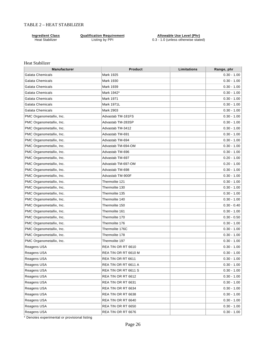#### TABLE 2 – HEAT STABILIZER

**Ingredient Class Qualification Requirement Allowable Use Level (Phr)** Heat Stabilizer **Listing by PPI** 0.3 - 1.0 (unless otherwise stated)

#### Heat Stabilizer

| <b>Manufacturer</b>      | <b>Product</b>       | Limitations | Range, phr    |
|--------------------------|----------------------|-------------|---------------|
| Galata Chemicals         | Mark 1925            |             | $0.30 - 1.00$ |
| Galata Chemicals         | Mark 1930            |             | $0.30 - 1.00$ |
| <b>Galata Chemicals</b>  | Mark 1939            |             | $0.30 - 1.00$ |
| Galata Chemicals         | Mark 1942*           |             | $0.30 - 1.00$ |
| Galata Chemicals         | Mark 1971            |             | $0.30 - 1.00$ |
| Galata Chemicals         | <b>Mark 1971L</b>    |             | $0.30 - 1.00$ |
| <b>Galata Chemicals</b>  | Mark 2903            |             | $0.30 - 1.00$ |
| PMC Organometallix, Inc. | Advastab TM-181FS    |             | $0.30 - 1.00$ |
| PMC Organometallix, Inc. | Advastab TM-283SP    |             | $0.30 - 1.00$ |
| PMC Organometallix, Inc. | Advastab TM-3412     |             | $0.30 - 1.00$ |
| PMC Organometallix, Inc. | Advastab TM-691      |             | $0.30 - 1.00$ |
| PMC Organometallix, Inc. | Advastab TM-694      |             | $0.30 - 1.00$ |
| PMC Organometallix, Inc. | Advastab TM-694-OM   |             | $0.30 - 1.00$ |
| PMC Organometallix, Inc. | Advastab TM-696      |             | $0.30 - 1.00$ |
| PMC Organometallix, Inc. | Advastab TM-697      |             | $0.20 - 1.00$ |
| PMC Organometallix, Inc. | Advastab TM-697-OM   |             | $0.20 - 1.00$ |
| PMC Organometallix, Inc. | Advastab TM-698      |             | $0.30 - 1.00$ |
| PMC Organometallix, Inc. | Advastab TM-900F     |             | $0.30 - 1.00$ |
| PMC Organometallix, Inc. | Thermolite 121       |             | $0.30 - 1.00$ |
| PMC Organometallix, Inc. | Thermolite 130       |             | $0.30 - 1.00$ |
| PMC Organometallix, Inc. | Thermolite 135       |             | $0.30 - 1.00$ |
| PMC Organometallix, Inc. | Thermolite 140       |             | $0.30 - 1.00$ |
| PMC Organometallix, Inc. | Thermolite 150       |             | $0.30 - 0.40$ |
| PMC Organometallix, Inc. | Thermolite 161       |             | $0.30 - 1.00$ |
| PMC Organometallix, Inc. | Thermolite 170       |             | $0.30 - 0.50$ |
| PMC Organometallix, Inc. | Thermolite 176       |             | $0.30 - 1.00$ |
| PMC Organometallix, Inc. | Thermolite 176C      |             | $0.30 - 1.00$ |
| PMC Organometallix, Inc. | Thermolite 178       |             | $0.30 - 1.00$ |
| PMC Organometallix, Inc. | Thermolite 197       |             | $0.30 - 1.00$ |
| Reagens USA              | REA TIN OR RT 6610   |             | $0.30 - 1.00$ |
| Reagens USA              | REA TIN OR RT 6610 M |             | $0.30 - 1.00$ |
| Reagens USA              | REA TIN OR RT 6611   |             | $0.30 - 1.00$ |
| Reagens USA              | REA TIN OR RT 6611 A |             | $0.30 - 1.00$ |
| Reagens USA              | REA TIN OR RT 6611 S |             | $0.30 - 1.00$ |
| Reagens USA              | REA TIN OR RT 6612   |             | $0.30 - 1.00$ |
| Reagens USA              | REA TIN OR RT 6631   |             | $0.30 - 1.00$ |
| Reagens USA              | REA TIN OR RT 6634   |             | $0.30 - 1.00$ |
| Reagens USA              | REA TIN OR RT 6638   |             | $0.30 - 1.00$ |
| Reagens USA              | REA TIN OR RT 6640   |             | $0.30 - 1.00$ |
| Reagens USA              | REA TIN OR RT 6650   |             | $0.30 - 1.00$ |
| Reagens USA              | REA TIN OR RT 6676   |             | $0.30 - 1.00$ |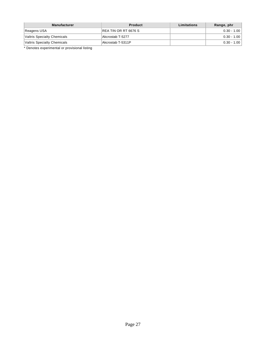| <b>Manufacturer</b>         | <b>Product</b>        | Limitations | Range, phr    |
|-----------------------------|-----------------------|-------------|---------------|
| Reagens USA                 | IREA TIN OR RT 6676 S |             | $0.30 - 1.00$ |
| Valtris Specialty Chemicals | Akcrostab T-5277      |             | $0.30 - 1.00$ |
| Valtris Specialty Chemicals | Akcrostab T-5311P     |             | $0.30 - 1.00$ |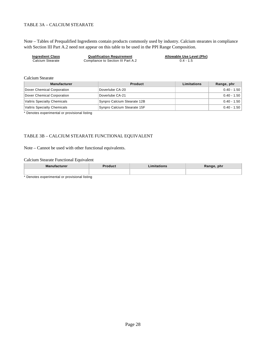#### TABLE 3A – CALCIUM STEARATE

Note – Tables of Prequalified Ingredients contain products commonly used by industry. Calcium stearates in compliance with Section III Part A.2 need not appear on this table to be used in the PPI Range Composition.

| <b>Ingredient Class</b> | <b>Qualification Requirement</b>   | Allowable Use Level (Phr) |
|-------------------------|------------------------------------|---------------------------|
| Calcium Stearate        | Compliance to Section III Part A.2 | $0.4 - 1.5$               |

Calcium Stearate

| <b>Manufacturer</b>         | <b>Product</b>              | Limitations | Range, phr    |
|-----------------------------|-----------------------------|-------------|---------------|
| Dover Chemical Corporation  | Doverlube CA-20             |             | $0.40 - 1.50$ |
| Dover Chemical Corporation  | Doverlube CA-21             |             | $0.40 - 1.50$ |
| Valtris Specialty Chemicals | Synpro Calcium Stearate 12B |             | $0.40 - 1.50$ |
| Valtris Specialty Chemicals | Synpro Calcium Stearate 15F |             | $0.40 - 1.50$ |

\* Denotes experimental or provisional listing

#### TABLE 3B – CALCIUM STEARATE FUNCTIONAL EQUIVALENT

Note – Cannot be used with other functional equivalents.

#### Calcium Stearate Functional Equivalent

| <b>Manufacturer</b> | าduct<br>п. | nitations | Range, phr<br>$\cdots$ $\cdots$ |
|---------------------|-------------|-----------|---------------------------------|
|                     |             |           |                                 |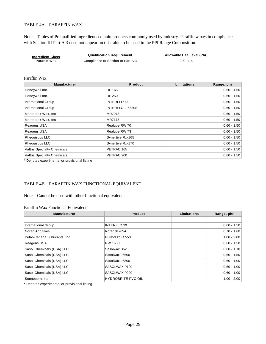#### TABLE 4A – PARAFFIN WAX

Note – Tables of Prequalified Ingredients contain products commonly used by industry. Paraffin waxes in compliance with Section III Part A.3 need not appear on this table to be used in the PPI Range Composition.

| <b>Ingredient Class</b> | <b>Qualification Requirement</b>   | Allowable Use Level (Phr) |
|-------------------------|------------------------------------|---------------------------|
| Paraffin Wax            | Compliance to Section III Part A.3 | $0.6 - 1.5$               |

#### Paraffin Wax

| <b>Manufacturer</b>                | <b>Product</b>     | Limitations | Range, phr    |
|------------------------------------|--------------------|-------------|---------------|
| Honeywell Inc.                     | <b>RL 165</b>      |             | $0.60 - 1.50$ |
| Honeywell Inc.                     | RL 250             |             | $0.60 - 1.50$ |
| <b>International Group</b>         | <b>INTERFLO 66</b> |             | $0.60 - 1.50$ |
| <b>International Group</b>         | INTERFLO L-6530B   |             | $0.60 - 1.50$ |
| Masterank Wax, Inc.                | MR7073             |             | $0.60 - 1.50$ |
| Masterank Wax, Inc.                | <b>MR7173</b>      |             | $0.60 - 1.50$ |
| Reagens USA                        | Realube RW 70      |             | $0.60 - 1.50$ |
| Reagens USA                        | Realube RW 73      |             | $0.60 - 1.50$ |
| <b>Rheogistics LLC</b>             | Synertive Rx-165   |             | $0.60 - 1.50$ |
| <b>Rheogistics LLC</b>             | Synertive Rx-170   |             | $0.60 - 1.50$ |
| <b>Valtris Specialty Chemicals</b> | PETRAC 165         |             | $0.60 - 1.50$ |
| <b>Valtris Specialty Chemicals</b> | PETRAC 200         |             | $0.60 - 1.50$ |

\* Denotes experimental or provisional listing

#### TABLE 4B – PARAFFIN WAX FUNCTIONAL EQUIVALENT

Note – Cannot be used with other functional equivalents.

#### Paraffin Wax Functional Equivalent

| <b>Manufacturer</b>           | <b>Product</b>            | Limitations | Range, phr    |
|-------------------------------|---------------------------|-------------|---------------|
|                               |                           |             |               |
| <b>International Group</b>    | <b>INTERFLO 39</b>        |             | $0.60 - 1.50$ |
| Norac Additives               | Norac XL-65A              |             | $0.70 - 1.60$ |
| Petro-Canada Lubricants, Inc. | Puretol PSO 550           |             | $1.00 - 2.00$ |
| Reagens USA                   | RW 1600                   |             | $0.60 - 1.50$ |
| Sasol Chemicals (USA) LLC     | Sasolwax B52              |             | $0.60 - 1.10$ |
| Sasol Chemicals (USA) LLC     | Sasolwax L6600            |             | $0.60 - 1.50$ |
| Sasol Chemicals (USA) LLC     | Sasolwax L6800            |             | $0.60 - 1.00$ |
| Sasol Chemicals (USA) LLC     | SASOLWAX P100             |             | $0.60 - 1.00$ |
| Sasol Chemicals (USA) LLC     | SASOLWAX P200             |             | $0.60 - 1.00$ |
| Sonneborn, Inc.               | <b>HYDROBRITE PVC OIL</b> |             | $1.00 - 2.00$ |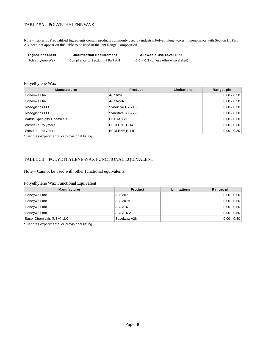#### TABLE 5A – POLYETHYLENE WAX

Note – Tables of Prequalified Ingredients contain products commonly used by industry. Polyethylene waxes in compliance with Section III Part A.4 need not appear on this table to be used in the PPI Range Composition.

| Ingredient Class | Qualification Requirement          | Allowable Use Level (Phr)             |
|------------------|------------------------------------|---------------------------------------|
| Polyethylene Wax | Compliance to Section III Part A.4 | $0.0 - 0.3$ (unless otherwise stated) |

#### Polyethylene Wax

| <b>Manufacturer</b>                | <b>Product</b>   | Limitations | Range, phr    |
|------------------------------------|------------------|-------------|---------------|
| Honeywell Inc.                     | A-C 629          |             | $0.00 - 0.50$ |
| Honeywell Inc.                     | A-C 629A         |             | $0.00 - 0.50$ |
| Rheogistics LLC                    | Synertive Rx-215 |             | $0.00 - 0.30$ |
| Rheogistics LLC                    | Synertive RX-729 |             | $0.00 - 0.30$ |
| <b>Valtris Specialty Chemicals</b> | PETRAC 215       |             | $0.00 - 0.30$ |
| <b>Westlake Polymers</b>           | EPOLENE E-14     |             | $0.00 - 0.30$ |
| <b>Westlake Polymers</b>           | EPOLENE E-14P    |             | $0.00 - 0.30$ |

\* Denotes experimental or provisional listing

#### TABLE 5B – POLYETHYLENE WAX FUNCTIONAL EQUIVALENT

Note – Cannot be used with other functional equivalents.

#### Polyethylene Wax Functional Equivalent

| <b>Manufacturer</b>       | Product      | <b>Limitations</b> | Range, phr    |
|---------------------------|--------------|--------------------|---------------|
| Honeywell Inc.            | A-C 307      |                    | $0.00 - 0.50$ |
| Honeywell Inc.            | A-C 307A     |                    | $0.00 - 0.50$ |
| Honeywell Inc.            | A-C 316      |                    | $0.00 - 0.50$ |
| Honeywell Inc.            | A-C 316 A    |                    | $0.00 - 0.50$ |
| Sasol Chemicals (USA) LLC | Sasolwax A28 |                    | $0.00 - 0.30$ |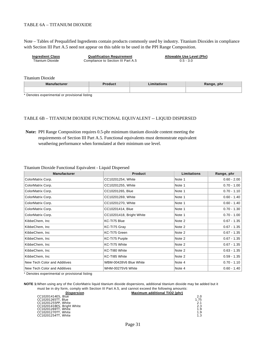#### TABLE 6A – TITANIUM DIOXIDE

Note – Tables of Prequalified Ingredients contain products commonly used by industry. Titanium Dioxides in compliance with Section III Part A.5 need not appear on this table to be used in the PPI Range Composition.

**Ingredient Class Qualification Requirement Allowable Use Level (Phr)** Titanium Dioxide Compliance to Section III Part A.5 0.5 - 3.0

Titanium Dioxide

| <b>Manufacturer</b> | วduct<br>--- | ange, phr<br>nany <del>o</del> , |
|---------------------|--------------|----------------------------------|
|                     |              |                                  |

\* Denotes experimental or provisional listing

#### TABLE 6B – TITANIUM DIOXIDE FUNCTIONAL EQUIVALENT -- LIQUID DISPERSED

**Note:** PPI Range Composition requires 0.5-phr minimum titanium dioxide content meeting the requirements of Section III Part A.5. Functional equivalents must demonstrate equivalent weathering performance when formulated at their minimum use level.

| <b>Manufacturer</b>          | <b>Product</b>           | Limitations | Range, phr    |
|------------------------------|--------------------------|-------------|---------------|
| ColorMatrix Corp.            | CC10201254, White        | Note 1      | $0.60 - 2.00$ |
| ColorMatrix Corp.            | CC10201255, White        | Note 1      | $0.70 - 1.00$ |
| ColorMatrix Corp.            | CC10201265, Blue         | Note 1      | $0.70 - 1.10$ |
| ColorMatrix Corp.            | CC10201269, White        | Note 1      | $0.60 - 1.40$ |
| ColorMatrix Corp.            | CC10201270, White        | Note 1      | $0.60 - 1.40$ |
| ColorMatrix Corp.            | CC10201414, Blue         | Note 1      | $0.70 - 1.30$ |
| ColorMatrix Corp.            | CC10201418, Bright White | Note 1      | $0.70 - 1.00$ |
| KibbeChem, Inc.              | KC-TI75 Blue             | Note 2      | $0.67 - 1.35$ |
| KibbeChem, Inc.              | KC-TI75 Gray             | Note 2      | $0.67 - 1.35$ |
| KibbeChem, Inc.              | KC-TI75 Green            | Note 2      | $0.67 - 1.35$ |
| KibbeChem, Inc.              | KC-TI75 Purple           | Note 2      | $0.67 - 1.35$ |
| KibbeChem, Inc.              | KC-TI75 White            | Note 2      | $0.67 - 1.35$ |
| KibbeChem, Inc.              | KC-TI80 White            | Note 2      | $0.63 - 1.35$ |
| KibbeChem, Inc               | KC-TI85 White            | Note 2      | $0.59 - 1.35$ |
| New Tech Color and Additives | WBM-00428V6 Blue White   | Note 4      | $0.70 - 1.10$ |
| New Tech Color and Additives | WHM-00275V6 White        | Note 4      | $0.60 - 1.40$ |

#### Titanium Dioxide Functional Equivalent - Liquid Dispersed

\* Denotes experimental or provisional listing

**NOTE 1:**When using any of the ColorMatrix liquid titanium dioxide dispersions, additional titanium dioxide may be added but it must be in dry form, comply with Section III Part A.5, and cannot exceed the following amounts:<br>Dispersion Maximum additional TiO2 (phr)

| <b>PISPEISION</b>          | <b>MAXIMUM AUGHORAL LIVZ (DIII)</b> |
|----------------------------|-------------------------------------|
| CC10201414ES, Blue         | 2.0                                 |
| CC10201265TT, Blue         | 1.75                                |
| CC10201255PP, White        | 2.1                                 |
| CC10201418ES, Bright White | 2.3                                 |
| CC10201269TT, White        | 1.9                                 |
| CC10201270TT, White        | 1.9                                 |
| CC10201254TT, White        | 1.3                                 |
|                            |                                     |

#### **Maximum additional TiO2 (phr)**

| $\overline{J}$<br>1 |
|---------------------|
| $\frac{2}{2}$       |
|                     |
| 1                   |
| 1                   |
|                     |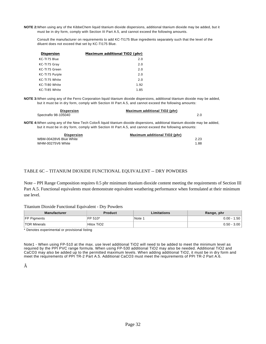**NOTE 2:**When using any of the KibbeChem liquid titanium dioxide dispersions, additional titanium dioxide may be added, but it must be in dry form, comply with Section III Part A.5, and cannot exceed the following amounts.

Consult the manufacturer on requirements to add KC-TI175 Blue ingredients separately such that the level of the diluent does not exceed that set by KC-TI175 Blue.

| Dispersion     | Maximum additional TiO2 (phr) |
|----------------|-------------------------------|
| KC-TI75 Blue   | 2.0                           |
| KC-TI75 Gray   | 2.0                           |
| KC-TI75 Green  | 2.0                           |
| KC-T175 Purple | 2.0                           |
| KC-TI75 White  | 2.0                           |
| KC-TI80 White  | 1.92                          |
| KC-TI85 White  | 1.85                          |

**NOTE 3:**When using any of the Ferro Corporation liquid titanium dioxide dispersions, additional titanium dioxide may be added, but it must be in dry form, comply with Section III Part A.5, and cannot exceed the following amounts:

| <b>Dispersion</b>    | Maximum additional TiO2 (phr) |  |
|----------------------|-------------------------------|--|
| Spectraflo 98-105040 |                               |  |

**NOTE 4:**When using any of the New Tech Color liquid titanium dioxide dispersions, additional titanium dioxide may be added, but it must be in dry form, comply with Section III Part A.5, and cannot exceed the following amounts:

| <b>Dispersion</b>      | Maximum additional TiO2 (phr) |
|------------------------|-------------------------------|
| WBM-00428V6 Blue White | 2.23                          |
| WHM-00275V6 White      | 1.88                          |

#### TABLE 6C – TITANIUM DIOXIDE FUNCTIONAL EQUIVALENT -- DRY POWDERS

Note – PPI Range Composition requires 0.5 phr minimum titanium dioxide content meeting the requirements of Section III Part A.5. Functional equivalents must demonstrate equivalent weathering performance when formulated at their minimum use level.

#### Titanium Dioxide Functional Equivalent - Dry Powders

| <b>Manufacturer</b>                                                | <b>Product</b> | Limitations | Range, phr    |
|--------------------------------------------------------------------|----------------|-------------|---------------|
| <b>FP Pigments</b>                                                 | IFP 510*       | Note :      | $0.00 - 1.50$ |
| <b>TOR Minerals</b>                                                | Hitox TiO2     |             | $0.50 - 3.00$ |
| . * Die sie eine eine eine eine Erste seiner der eine Erstellen er |                |             |               |

Denotes experimental or provisional listing

Note1 - When using FP-510 at the max. use level additional TiO2 will need to be added to meet the minimum level as required by the PPI PVC range formula. When using FP-530 additional TiO2 may also be needed. Additional TiO2 and CaCO3 may also be added up to the permitted maximum levels. When adding additional TiO2, it must be in dry form and meet the requirements of PPI TR-2 Part A.5. Additional CaCO3 must meet the requirements of PPI TR-2 Part A.6.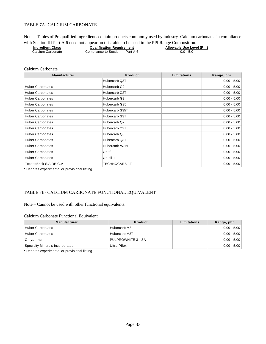#### TABLE 7A- CALCIUM CARBONATE

Note – Tables of Prequalified Ingredients contain products commonly used by industry. Calcium carbonates in compliance<br>with Section III Part A 6 need not appear on this table to be used in the PPI Range Composition

|                         | with Section III Part A.6 need not appear on this table to be used in the PPI Range Composition. |                           |
|-------------------------|--------------------------------------------------------------------------------------------------|---------------------------|
| <b>Ingredient Class</b> | <b>Qualification Requirement</b>                                                                 | Allowable Use Level (Phr) |
| Calcium Carbonate       | Compliance to Section III Part A.6                                                               | $0.0 - 5.0$               |

#### Calcium Carbonate

| <b>Manufacturer</b>     | <b>Product</b> | <b>Limitations</b> | Range, phr    |
|-------------------------|----------------|--------------------|---------------|
|                         | Hubercarb Q3T  |                    | $0.00 - 5.00$ |
| <b>Huber Carbonates</b> | Hubercarb G2   |                    | $0.00 - 5.00$ |
| <b>Huber Carbonates</b> | Hubercarb G2T  |                    | $0.00 - 5.00$ |
| <b>Huber Carbonates</b> | Hubercarb G3   |                    | $0.00 - 5.00$ |
| <b>Huber Carbonates</b> | Hubercarb G35  |                    | $0.00 - 5.00$ |
| <b>Huber Carbonates</b> | Hubercarb G35T |                    | $0.00 - 5.00$ |
| <b>Huber Carbonates</b> | Hubercarb G3T  |                    | $0.00 - 5.00$ |
| <b>Huber Carbonates</b> | Hubercarb Q2   |                    | $0.00 - 5.00$ |
| <b>Huber Carbonates</b> | Hubercarb Q2T  |                    | $0.00 - 5.00$ |
| <b>Huber Carbonates</b> | Hubercarb Q3   |                    | $0.00 - 5.00$ |
| <b>Huber Carbonates</b> | Hubercarb Q3T  |                    | $0.00 - 5.00$ |
| <b>Huber Carbonates</b> | Hubercarb W3N  |                    | $0.00 - 5.00$ |
| <b>Huber Carbonates</b> | Optifil        |                    | $0.00 - 5.00$ |
| <b>Huber Carbonates</b> | Optifil T      |                    | $0.00 - 5.00$ |
| TechnoBrick S.A.DE C.V  | TECHNOCARB-1T  |                    | $0.00 - 5.00$ |

\* Denotes experimental or provisional listing

#### TABLE 7B- CALCIUM CARBONATE FUNCTIONAL EQUIVALENT

#### Note – Cannot be used with other functional equivalents.

#### Calcium Carbonate Functional Equivalent

| <b>Manufacturer</b>             | <b>Product</b>     | Limitations | Range, phr    |
|---------------------------------|--------------------|-------------|---------------|
| Huber Carbonates                | Hubercarb M3       |             | $0.00 - 5.00$ |
| Huber Carbonates                | Hubercarb M3T      |             | $0.00 - 5.00$ |
| Omya, Inc                       | PULPROWHITE 3 - SA |             | $0.00 - 5.00$ |
| Specialty Minerals Incorporated | Ultra-Pflex        |             | $0.00 - 5.00$ |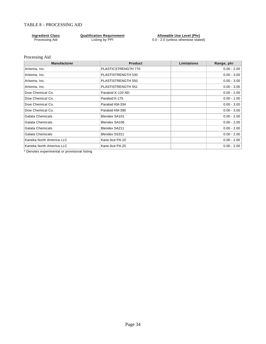#### TABLE 8 – PROCESSING AID

**Ingredient Class Qualification Requirement Allowable Use Level (Phr)** Processing Aid **Listing by PPI** 0.0 - 2.0 (unless otherwise stated)

#### Processing Aid

| <b>Manufacturer</b>      | <b>Product</b>      | Limitations | Range, phr    |
|--------------------------|---------------------|-------------|---------------|
| Arkema, Inc.             | PLASTICSTRENGTH 770 |             | $0.00 - 2.00$ |
| Arkema, Inc.             | PLASTISTRENGTH 530  |             | $0.00 - 3.00$ |
| Arkema, Inc.             | PLASTISTRENGTH 550  |             | $0.00 - 3.00$ |
| Arkema, Inc.             | PLASTISTRENGTH 551  |             | $0.00 - 3.00$ |
| Dow Chemical Co.         | Paraloid K-120 ND   |             | $0.00 - 2.00$ |
| Dow Chemical Co.         | Paraloid K-175      |             | $0.00 - 1.00$ |
| Dow Chemical Co.         | Paraloid KM-334     |             | $0.00 - 3.00$ |
| Dow Chemical Co.         | Paraloid KM-390     |             | $0.00 - 3.00$ |
| <b>Galata Chemicals</b>  | Blendex SA101       |             | $0.00 - 2.00$ |
| Galata Chemicals         | Blendex SA106       |             | $0.00 - 2.00$ |
| Galata Chemicals         | Blendex SA211       |             | $0.00 - 2.00$ |
| Galata Chemicals         | Blendex SS311       |             | $0.00 - 2.00$ |
| Kaneka North America LLC | Kane Ace PA-10      |             | $0.00 - 2.00$ |
| Kaneka North America LLC | Kane Ace PA-20      |             | $0.00 - 2.00$ |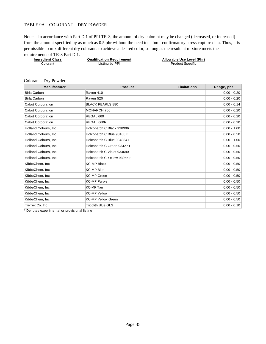#### TABLE 9A – COLORANT – DRY POWDER

Note: – In accordance with Part D.1 of PPI TR-3, the amount of dry colorant may be changed (decreased, or increased) from the amount specified by as much as 0.5 phr without the need to submit confirmatory stress-rupture data. Thus, it is permissible to mix different dry colorants to achieve a desired color, so long as the resultant mixture meets the requirements of TR-3 Part D.1.

| <b>Ingredient Class</b> | <b>Qualification Requirement</b> | Allowable Use Level (Phr) |
|-------------------------|----------------------------------|---------------------------|
| Colorant                | Listing by PPI                   | <b>Product Specific</b>   |
|                         |                                  |                           |

#### Colorant - Dry Powder

| <b>Manufacturer</b>      | <b>Product</b>              | <b>Limitations</b> | Range, phr    |
|--------------------------|-----------------------------|--------------------|---------------|
| <b>Birla Carbon</b>      | Raven 410                   |                    | $0.00 - 0.20$ |
| <b>Birla Carbon</b>      | Raven 520                   |                    | $0.00 - 0.20$ |
| Cabot Corporation        | <b>BLACK PEARLS 880</b>     |                    | $0.00 - 0.14$ |
| <b>Cabot Corporation</b> | MONARCH 700                 |                    | $0.00 - 0.20$ |
| <b>Cabot Corporation</b> | REGAL 660                   |                    | $0.00 - 0.20$ |
| <b>Cabot Corporation</b> | REGAL 660R                  |                    | $0.00 - 0.20$ |
| Holland Colours, Inc.    | Holcobatch C Black 938996   |                    | $0.00 - 1.00$ |
| Holland Colours, Inc.    | Holcobatch C Blue 93108 F   |                    | $0.00 - 0.50$ |
| Holland Colours, Inc.    | Holcobatch C Blue 934884 F  |                    | $0.00 - 1.00$ |
| Holland Colours, Inc.    | Holcobatch C Green 93427 F  |                    | $0.00 - 0.50$ |
| Holland Colours, Inc.    | Holcobatch C Violet 934690  |                    | $0.00 - 0.50$ |
| Holland Colours, Inc.    | Holcobatch C Yellow 93055 F |                    | $0.00 - 0.50$ |
| KibbeChem, Inc.          | <b>KC-MP Black</b>          |                    | $0.00 - 0.50$ |
| KibbeChem, Inc           | <b>KC-MP Blue</b>           |                    | $0.00 - 0.50$ |
| KibbeChem, Inc.          | <b>KC-MP Green</b>          |                    | $0.00 - 0.50$ |
| KibbeChem, Inc.          | <b>KC-MP Purple</b>         |                    | $0.00 - 0.50$ |
| KibbeChem, Inc.          | KC-MP Tan                   |                    | $0.00 - 0.50$ |
| KibbeChem, Inc           | <b>KC-MP Yellow</b>         |                    | $0.00 - 0.50$ |
| KibbeChem, Inc           | <b>KC-MP Yellow Green</b>   |                    | $0.00 - 0.50$ |
| Tri-Tex Co. Inc          | <b>Tricolith Blue GLS</b>   |                    | $0.00 - 0.10$ |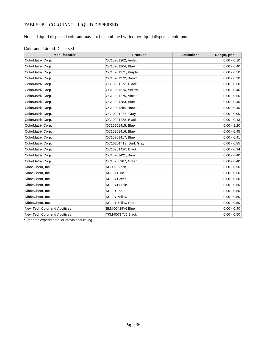# TABLE 9B – COLORANT – LIQUID DISPERSED

# Note – Liquid dispersed colorant may not be combined with other liquid dispersed colorants

| Manufacturer                 | <b>Product</b>            | Limitations | Range, phr    |
|------------------------------|---------------------------|-------------|---------------|
| ColorMatrix Corp.            | CC10201262, Violet        |             | $0.00 - 0.10$ |
| ColorMatrix Corp.            | CC10201264, Blue          |             | $0.00 - 0.40$ |
| ColorMatrix Corp.            | CC10201271, Purple        |             | $0.00 - 0.50$ |
| ColorMatrix Corp.            | CC10201272, Brown         |             | $0.00 - 0.30$ |
| ColorMatrix Corp.            | CC10201273, Black         |             | $0.00 - 0.50$ |
| ColorMatrix Corp.            | CC10201274, Yellow        |             | $0.00 - 0.40$ |
| ColorMatrix Corp.            | CC10201275, Violet        |             | $0.00 - 0.50$ |
| ColorMatrix Corp.            | CC10201283, Blue          |             | $0.00 - 0.40$ |
| ColorMatrix Corp.            | CC10201284, Brown         |             | $0.00 - 0.40$ |
| ColorMatrix Corp.            | CC10201285, Gray          |             | $0.00 - 0.90$ |
| ColorMatrix Corp.            | CC10201288, Black         |             | $0.00 - 0.43$ |
| ColorMatrix Corp.            | CC10201415, Blue          |             | $0.00 - 1.20$ |
| ColorMatrix Corp.            | CC10201416, Blue          |             | $0.00 - 0.45$ |
| ColorMatrix Corp.            | CC10201417, Blue          |             | $0.00 - 0.41$ |
| ColorMatrix Corp.            | CC10201419, Dark Gray     |             | $0.00 - 0.85$ |
| ColorMatrix Corp.            | CC10201420, Black         |             | $0.00 - 0.34$ |
| ColorMatrix Corp.            | CC10201421, Brown         |             | $0.00 - 0.40$ |
| ColorMatrix Corp.            | CC10256367, Green         |             | $0.00 - 0.40$ |
| KibbeChem, Inc               | <b>KC-LD Black</b>        |             | $0.00 - 0.50$ |
| KibbeChem, Inc               | <b>KC-LD Blue</b>         |             | $0.00 - 0.50$ |
| KibbeChem, Inc               | <b>KC-LD Green</b>        |             | $0.00 - 0.50$ |
| KibbeChem, Inc               | <b>KC-LD Purple</b>       |             | $0.00 - 0.50$ |
| KibbeChem, Inc               | <b>KC-LD Tan</b>          |             | $0.00 - 0.50$ |
| KibbeChem, Inc               | <b>KC-LD Yellow</b>       |             | $0.00 - 0.50$ |
| KibbeChem, Inc               | <b>KC-LD-Yellow Green</b> |             | $0.00 - 0.50$ |
| New Tech Color and Additives | <b>BLM-00429V6 Blue</b>   |             | $0.00 - 0.40$ |
| New Tech Color and Additives | <b>TKM-00714V6 Black</b>  |             | $0.00 - 0.50$ |

### Colorant - Liquid Dispersed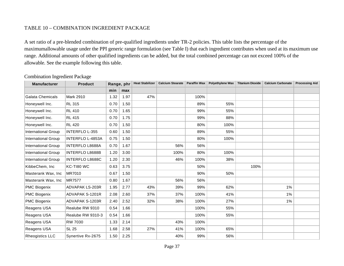# TABLE 10 – COMBINATION INGREDIENT PACKAGE

A set ratio of a pre-blended combination of pre-qualified ingredients under TR-2 policies. This table lists the percentage of the maximumallowable usage under the PPI generic range formulation (see Table I) that each ingredient contributes when used at its maximum use range. Additional amounts of other qualified ingredients can be added, but the total combined percentage can not exceed 100% of the allowable. See the example following this table.

| <b>Manufacturer</b>        | <b>Product</b>          | Range, phr |      | <b>Heat Stabilizer</b> | <b>Calcium Stearate</b> | <b>Paraffin Wax</b> | Polyethylene Wax | <b>Titanium Dioxide</b> | <b>Calcium Carbonate</b> | <b>Processing Aid</b> |
|----------------------------|-------------------------|------------|------|------------------------|-------------------------|---------------------|------------------|-------------------------|--------------------------|-----------------------|
|                            |                         | min        | max  |                        |                         |                     |                  |                         |                          |                       |
| <b>Galata Chemicals</b>    | Mark 2910               | 1.32       | 1.97 | 47%                    |                         | 100%                |                  |                         |                          |                       |
| Honeywell Inc.             | <b>RL 315</b>           | 0.70       | 1.50 |                        |                         | 89%                 | 55%              |                         |                          |                       |
| Honeywell Inc.             | <b>RL 410</b>           | 0.70       | 1.65 |                        |                         | 99%                 | 55%              |                         |                          |                       |
| Honeywell Inc.             | <b>RL 415</b>           | 0.70       | 1.75 |                        |                         | 99%                 | 88%              |                         |                          |                       |
| Honeywell Inc.             | <b>RL 420</b>           | 0.70       | 1.50 |                        |                         | 80%                 | 100%             |                         |                          |                       |
| <b>International Group</b> | <b>INTERFLO L-355</b>   | 0.60       | 1.50 |                        |                         | 89%                 | 55%              |                         |                          |                       |
| <b>International Group</b> | <b>INTERFLO L-4853A</b> | 0.75       | 1.50 |                        |                         | 80%                 | 100%             |                         |                          |                       |
| International Group        | <b>INTERFLO L8688A</b>  | 0.70       | 1.67 |                        | 56%                     | 56%                 |                  |                         |                          |                       |
| <b>International Group</b> | <b>INTERFLO L8688B</b>  | 1.20       | 3.00 |                        | 100%                    | 80%                 | 100%             |                         |                          |                       |
| <b>International Group</b> | INTERFLO L8688C         | 1.20       | 2.30 |                        | 46%                     | 100%                | 38%              |                         |                          |                       |
| KibbeChem, Inc             | KC-TI80 WC              | 0.63       | 3.75 |                        |                         | 50%                 |                  | 100%                    |                          |                       |
| Masterank Wax, Inc         | MR7010                  | 0.67       | 1.50 |                        |                         | 90%                 | 50%              |                         |                          |                       |
| Masterank Wax, Inc         | <b>MR7577</b>           | 0.80       | 1.67 |                        | 56%                     | 56%                 |                  |                         |                          |                       |
| <b>PMC Biogenix</b>        | <b>ADVAPAK LS-203R</b>  | 1.95       | 2.77 | 43%                    | 39%                     | 99%                 | 62%              |                         | 1%                       |                       |
| <b>PMC Biogenix</b>        | ADVAPAK S-1201R         | 2.08       | 2.60 | 37%                    | 37%                     | 100%                | 41%              |                         | 1%                       |                       |
| PMC Biogenix               | ADVAPAK S-1203R         | 2.40       | 2.52 | 32%                    | 38%                     | 100%                | 27%              |                         | 1%                       |                       |
| Reagens USA                | Realube RW 9310         | 0.54       | 1.66 |                        |                         | 100%                | 55%              |                         |                          |                       |
| Reagens USA                | Realube RW 9310-3       | 0.54       | 1.66 |                        |                         | 100%                | 55%              |                         |                          |                       |
| Reagens USA                | <b>RW 7030</b>          | 1.33       | 2.14 |                        | 43%                     | 100%                |                  |                         |                          |                       |
| Reagens USA                | <b>SL 25</b>            | 1.68       | 2.58 | 27%                    | 41%                     | 100%                | 65%              |                         |                          |                       |
| <b>Rheogistics LLC</b>     | Synertive Rx-2675       | 1.50       | 2.25 |                        | 40%                     | 99%                 | 56%              |                         |                          |                       |

Combination Ingredient Package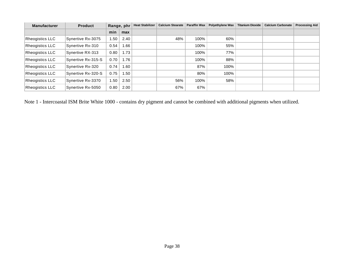| <b>Manufacturer</b>    | <b>Product</b>     | Range, phr        |      | <b>Heat Stabilizer</b> | <b>Calcium Stearate</b> | <b>Paraffin Wax</b> | <b>Polyethylene Wax</b> | <b>Titanium Dioxide</b> | <b>Calcium Carbonate</b> | <b>Processing Aid</b> |
|------------------------|--------------------|-------------------|------|------------------------|-------------------------|---------------------|-------------------------|-------------------------|--------------------------|-----------------------|
|                        |                    | min               | max  |                        |                         |                     |                         |                         |                          |                       |
| <b>Rheogistics LLC</b> | Synertive Rx-3075  | 1.50              | 2.40 |                        | 48%                     | 100%                | 60%                     |                         |                          |                       |
| <b>Rheogistics LLC</b> | Synertive Rx-310   | 0.54              | .66  |                        |                         | 100%                | 55%                     |                         |                          |                       |
| <b>Rheogistics LLC</b> | Synertive RX-313   | 0.80              | 1.73 |                        |                         | 100%                | 77%                     |                         |                          |                       |
| <b>Rheogistics LLC</b> | Synertive Rx-315-S | 0.70              | 1.76 |                        |                         | 100%                | 88%                     |                         |                          |                       |
| <b>Rheogistics LLC</b> | Synertive Rx-320   | 0.74              | .60  |                        |                         | 87%                 | 100%                    |                         |                          |                       |
| <b>Rheogistics LLC</b> | Synertive Rx-320-S | 0.75              | .50  |                        |                         | 80%                 | 100%                    |                         |                          |                       |
| <b>Rheogistics LLC</b> | Synertive Rx-3370  | 1.50 <sup>7</sup> | 2.50 |                        | 56%                     | 100%                | 58%                     |                         |                          |                       |
| <b>Rheogistics LLC</b> | Synertive Rx-5050  | 0.80              | 2.00 |                        | 67%                     | 67%                 |                         |                         |                          |                       |

Note 1 - Intercoastal ISM Brite White 1000 - contains dry pigment and cannot be combined with additional pigments when utilized.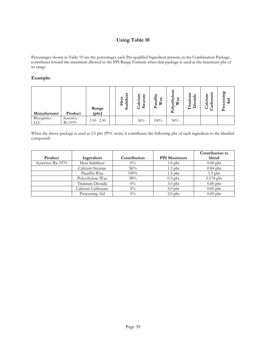# **Using Table 10**

Percentages shown in Table 10 are the percentages each Pre-qualified Ingredient present, in the Combination Package, contributes toward the maximum allowed in the PPI Range Formula when that package is used at the maximum phr of its range.

### **Example:**

| Manufacturer              | Product              | Range<br>[phr] | ä<br>abiliz<br>$ext{a}$<br>보<br>Ò. | Calcium<br><b>rate</b><br>Stea | araffin<br>ă<br>В<br>≏ | Φ<br>thyl<br>ax<br>В<br>٥<br>Poly | ទ្ទ<br>äde<br><b>itaniu</b><br>Diox | ٥<br>nat<br>Calcium<br>dire | ç0<br>ssing<br>್ಲದ<br>تة<br>⋖<br>$P_{\rm r0}$ |
|---------------------------|----------------------|----------------|------------------------------------|--------------------------------|------------------------|-----------------------------------|-------------------------------------|-----------------------------|-----------------------------------------------|
| Rheogistics<br><b>LLC</b> | Synertive<br>Rx-3370 | 2.50<br>1.50   |                                    | 56%                            | $100\%$                | 58%                               |                                     |                             |                                               |

When the above package is used at 2.5 phr (PVC resin) it contributes the following phr of each ingredient to the blended compound:

|                   |                   |              |                    | Contribution to |
|-------------------|-------------------|--------------|--------------------|-----------------|
| Product           | Ingredient        | Contribution | <b>PPI Maximum</b> | blend           |
| Synertive Rx-3370 | Heat Stabilizer   | $0\%$        | $1.0$ phr          | $0.00$ phr      |
|                   | Calcium Stearate  | 56%          | $1.5$ phr          | $0.84$ phr      |
|                   | Paraffin Wax      | $100\%$      | $1.5$ phr          | $1.5$ phr       |
|                   | Polyethylene Wax  | 58%          | $0.3$ phr          | $0.174$ phr     |
|                   | Titanium Dioxide  | $0\%$        | $3.0$ phr          | $0.00$ phr      |
|                   | Calcium Carbonate | $0\%$        | $5.0$ phr          | $0.00$ phr      |
|                   | Processing Aid    | $0\%$        | $2.0$ phr          | $0.00$ phr      |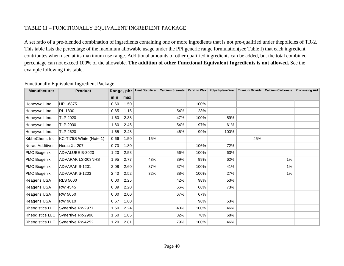# TABLE 11 – FUNCTIONALLY EQUIVALENT INGREDIENT PACKAGE

A set ratio of a pre-blended combination of ingredients containing one or more ingredients that is not pre-qualified under thepolicies of TR-2. This table lists the percentage of the maximum allowable usage under the PPI generic range formulation(see Table I) that each ingredient contributes when used at its maximum use range. Additional amounts of other qualified ingredients can be added, but the total combined percentage can not exceed 100% of the allowable. **The addition of other Functional Equivalent Ingredients is not allowed.** See the example following this table.

| <b>Manufacturer</b> | <b>Product</b>          | Range, phr |      | <b>Heat Stabilizer</b> | Calcium Stearate   Paraffin Wax |      | Polyethylene Wax | <b>Titanium Dioxide</b> | <b>Calcium Carbonate</b> | <b>Processing Aid</b> |
|---------------------|-------------------------|------------|------|------------------------|---------------------------------|------|------------------|-------------------------|--------------------------|-----------------------|
|                     |                         | min        | max  |                        |                                 |      |                  |                         |                          |                       |
| Honeywell Inc.      | <b>HPL-6875</b>         | 0.60       | 1.50 |                        |                                 | 100% |                  |                         |                          |                       |
| Honeywell Inc.      | <b>RL 1800</b>          | 0.65       | 1.15 |                        | 54%                             | 23%  |                  |                         |                          |                       |
| Honeywell Inc.      | <b>TLP-2020</b>         | 1.60       | 2.38 |                        | 47%                             | 100% | 59%              |                         |                          |                       |
| Honeywell Inc.      | <b>TLP-2030</b>         | 1.60       | 2.45 |                        | 54%                             | 97%  | 61%              |                         |                          |                       |
| Honeywell Inc.      | TLP-2620                | 1.65       | 2.48 |                        | 46%                             | 99%  | 100%             |                         |                          |                       |
| KibbeChem, Inc      | KC-TI75S White (Note 1) | 0.66       | 1.50 | 15%                    |                                 |      |                  | 45%                     |                          |                       |
| Norac Additives     | Norac XL-207            | 0.70       | 1.80 |                        |                                 | 106% | 72%              |                         |                          |                       |
| PMC Biogenix        | ADVALUBE B-3020         | 1.20       | 2.53 |                        | 56%                             | 100% | 63%              |                         |                          |                       |
| PMC Biogenix        | ADVAPAK LS-203NHS       | 1.95       | 2.77 | 43%                    | 39%                             | 99%  | 62%              |                         | 1%                       |                       |
| PMC Biogenix        | ADVAPAK S-1201          | 2.08       | 2.60 | 37%                    | 37%                             | 100% | 41%              |                         | 1%                       |                       |
| PMC Biogenix        | ADVAPAK S-1203          | 2.40       | 2.52 | 32%                    | 38%                             | 100% | 27%              |                         | $1\%$                    |                       |
| Reagens USA         | <b>RLS 5000</b>         | 0.00       | 2.25 |                        | 42%                             | 98%  | 53%              |                         |                          |                       |
| Reagens USA         | <b>RW 4545</b>          | 0.89       | 2.20 |                        | 66%                             | 66%  | 73%              |                         |                          |                       |
| Reagens USA         | RW 5050                 | 0.00       | 2.00 |                        | 67%                             | 67%  |                  |                         |                          |                       |
| Reagens USA         | RW 9010                 | 0.67       | 1.60 |                        |                                 | 96%  | 53%              |                         |                          |                       |
| Rheogistics LLC     | Synertive Rx-2977       | 1.50       | 2.24 |                        | 40%                             | 100% | 46%              |                         |                          |                       |
| Rheogistics LLC     | Synertive Rx-2990       | 1.60       | 1.85 |                        | 32%                             | 78%  | 68%              |                         |                          |                       |
| Rheogistics LLC     | Synertive Rx-4252       | 1.20       | 2.81 |                        | 79%                             | 100% | 46%              |                         |                          |                       |

### Functionally Equivalent Ingredient Package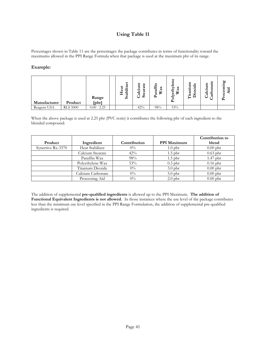### **Using Table 11**

Percentages shown in Table 11 are the percentages the package contributes in terms of functionality toward the maximums allowed in the PPI Range Formula when that package is used at the maximum phr of its range.

#### **Example:**

| Manufacturer | Product         | Range<br>[phr]   | ⊷<br>r.<br>а<br>abili<br>ェ<br>ပ္ပ | alcium<br>g<br>ra<br>ω<br>Φ<br>ت<br>O<br>ဖာ | ᄃ<br>affi<br>×<br>ಡ<br>В<br>ä<br>⊶ | ω<br>thyl<br>ω<br>⋼<br>٥<br>≏ | ទ្ទ<br>Ο<br>ರ<br>⊶<br>ina<br>an<br>⊣<br>÷<br>┙ | ω<br>nat<br>Ξ<br>⊶<br>ల<br>arb<br>ನ<br>-<br>◡ | 60<br>essin<br>모<br>⋖<br>Ō<br>$P_{\rm T0}$ |
|--------------|-----------------|------------------|-----------------------------------|---------------------------------------------|------------------------------------|-------------------------------|------------------------------------------------|-----------------------------------------------|--------------------------------------------|
| Reagens USA  | <b>RLS 5000</b> | 2.25<br>$0.00\,$ |                                   | 42%                                         | 98%                                | 53%                           |                                                |                                               |                                            |

When the above package is used at 2.25 phr (PVC resin) it contributes the following phr of each ingredient to the blended compound:

|                   |                   |              |                    | Contribution to |
|-------------------|-------------------|--------------|--------------------|-----------------|
| Product           | Ingredient        | Contribution | <b>PPI Maximum</b> | blend           |
| Synertive Rx-3370 | Heat Stabilizer   | $0\%$        | $1.0$ phr          | $0.00$ phr      |
|                   | Calcium Stearate  | 42%          | $1.5$ phr          | $0.63$ phr      |
|                   | Paraffin Wax      | 98%          | $1.5$ phr          | $1.47$ phr      |
|                   | Polyethylene Wax  | 53%          | $0.3$ phr          | $0.16$ phr      |
|                   | Titanium Dioxide  | $0\%$        | $3.0$ phr          | $0.00$ phr      |
|                   | Calcium Carbonate | $0\%$        | $5.0$ phr          | $0.00$ phr      |
|                   | Processing Aid    | $0\%$        | $2.0$ phr          | $0.00$ phr      |

The addition of supplemental **pre-qualified ingredients** is allowed up to the PPI Maximum. **The addition of Functional Equivalent Ingredients is not allowed.** In those instances where the use level of the package contributes less than the minimum use level specified in the PPI Range Formulation, the addition of supplemental pre-qualified ingredients is required.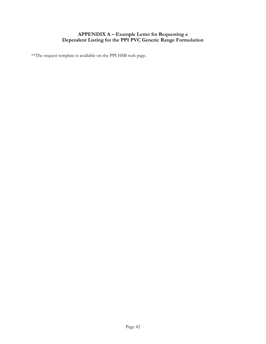# **APPENDIX A – Example Letter for Requesting a Dependent Listing for the PPI PVC Generic Range Formulation**

\*\*The request template is available on the PPI HSB web page.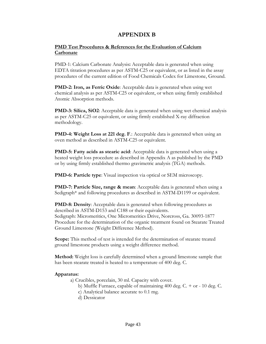# **APPENDIX B**

### **PMD Test Procedures & References for the Evaluation of Calcium Carbonate**

PMD-1: Calcium Carbonate Analysis**:** Acceptable data is generated when using EDTA titration procedures as per ASTM-C25 or equivalent, or as listed in the assay procedures of the current edition of Food Chemicals Codex for Limestone, Ground.

**PMD-2: Iron, as Ferric Oxide:** Acceptable data is generated when using wet chemical analysis as per ASTM-C25 or equivalent, or when using firmly established Atomic Absorption methods.

**PMD-3: Silica, SiO2**: Acceptable data is generated when using wet chemical analysis as per ASTM-C25 or equivalent, or using firmly established X-ray diffraction methodology.

**PMD-4: Weight Loss at 221 deg. F**.: Acceptable data is generated when using an oven method as described in ASTM-C25 or equivalent.

**PMD-5: Fatty acids as stearic acid**: Acceptable data is generated when using a heated weight loss procedure as described in Appendix A as published by the PMD or by using firmly established thermo gravimetric analysis (TGA) methods.

**PMD-6: Particle type**: Visual inspection via optical or SEM microscopy.

**PMD-7: Particle Size, range & mean**: Acceptable data is generated when using a Sedigraph\* and following procedures as described in ASTM-D1199 or equivalent.

**PMD-8: Density**: Acceptable data is generated when following procedures as described in ASTM-D153 and C188 or their equivalents. Sedigraph: Micromeritics, One Micromeritics Drive, Norcross, Ga. 30093-1877 Procedure for the determination of the organic treatment found on Stearate Treated Ground Limestone (Weight Difference Method).

**Scope:** This method of test is intended for the determination of stearate treated ground limestone products using a weight difference method.

**Method:** Weight loss is carefully determined when a ground limestone sample that has been stearate treated is heated to a temperature of 400 deg. C.

#### **Apparatus:**

a) Crucibles, porcelain, 30 ml. Capacity with cover.

- b) Muffle Furnace, capable of maintaining 400 deg. C. + or 10 deg. C.
- c) Analytical balance accurate to 0.1 mg.
- d) Dessicator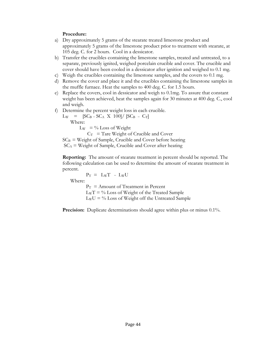### **Procedure:**

- a) Dry approximately 5 grams of the stearate treated limestone product and approximately 5 grams of the limestone product prior to treatment with stearate, at 105 deg. C. for 2 hours. Cool in a dessicator.
- b) Transfer the crucibles containing the limestone samples, treated and untreated, to a separate, previously ignited, weighed porcelain crucible and cover. The crucible and cover should have been cooled in a dessicator after ignition and weighed to 0.1 mg.
- c) Weigh the crucibles containing the limestone samples, and the covers to 0.1 mg.
- d) Remove the cover and place it and the crucibles containing the limestone samples in the muffle furnace. Heat the samples to 400 deg. C. for 1.5 hours.
- e) Replace the covers, cool in dessicator and weigh to 0.1mg. To assure that constant weight has been achieved, heat the samples again for 30 minutes at 400 deg. C., cool and weigh.
- f) Determine the percent weight loss in each crucible.

 $L_W$  = [SC<sub>B</sub> – SC<sub>A</sub> X 100]/ [SC<sub>B</sub> – C<sub>T</sub>] Where:  $L_W = \%$  Loss of Weight  $C_T$  = Tare Weight of Crucible and Cover

 $SC_B$  = Weight of Sample, Crucible and Cover before heating  $SC_A$  = Weight of Sample, Crucible and Cover after heating

**Reporting:** The amount of stearate treatment in percent should be reported. The following calculation can be used to determine the amount of stearate treatment in percent.

 $P_T = L_W T - L_W U$ Where:

 $P_T$  = Amount of Treatment in Percent  $LwT = \%$  Loss of Weight of the Treated Sample  $LwU = \%$  Loss of Weight off the Untreated Sample

**Precision:** Duplicate determinations should agree within plus or minus 0.1%.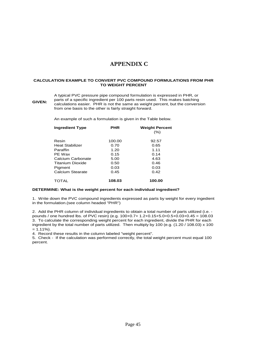# **APPENDIX C**

#### **CALCULATION EXAMPLE TO CONVERT PVC COMPOUND FORMULATIONS FROM PHR TO WEIGHT PERCENT**

#### **GIVEN:** A typical PVC pressure pipe compound formulation is expressed in PHR, or parts of a specific ingredient per 100 parts resin used. This makes batching calculations easier. PHR is not the same as weight percent, but the conversion from one basis to the other is fairly straight forward.

An example of such a formulation is given in the Table below.

| <b>Ingredient Type</b>  | <b>PHR</b> | <b>Weight Percent</b><br>$(\% )$ |
|-------------------------|------------|----------------------------------|
| Resin                   | 100.00     | 92.57                            |
| <b>Heat Stabilizer</b>  | 0.70       | 0.65                             |
| Paraffin                | 1.20       | 1.11                             |
| PE Wax                  | 0.15       | 0.14                             |
| Calcium Carbonate       | 5.00       | 4.63                             |
| <b>Titanium Dioxide</b> | 0.50       | 0.46                             |
| Pigment                 | 0.03       | 0.03                             |
| Calcium Stearate        | 0.45       | 0.42                             |
| TOTAL                   | 108.03     | 100.00                           |

#### **DETERMINE: What is the weight percent for each individual ingredient?**

1. Write down the PVC compound ingredients expressed as parts by weight for every ingedient in the formulation.(see column headed "PHR")

2. Add the PHR column of individual ingredients to obtain a total number of parts utilized (i.e. pounds / one hundred lbs. of PVC resin) (e.g. 100+0.7+ 1.2+0.15+5.0+0.5+0.03+0.45 = 108.03 3. To calculate the corresponding weight percent for each ingredient, divide the PHR for each ingredient by the total number of parts utilized. Then multiply by 100 (e.g. (1.20 / 108.03) x 100  $= 1.11\%$ ).

4. Record these results in the column labeled "weight percent".

5. Check - If the calculation was performed correctly, the total weight percent must equal 100 percent.